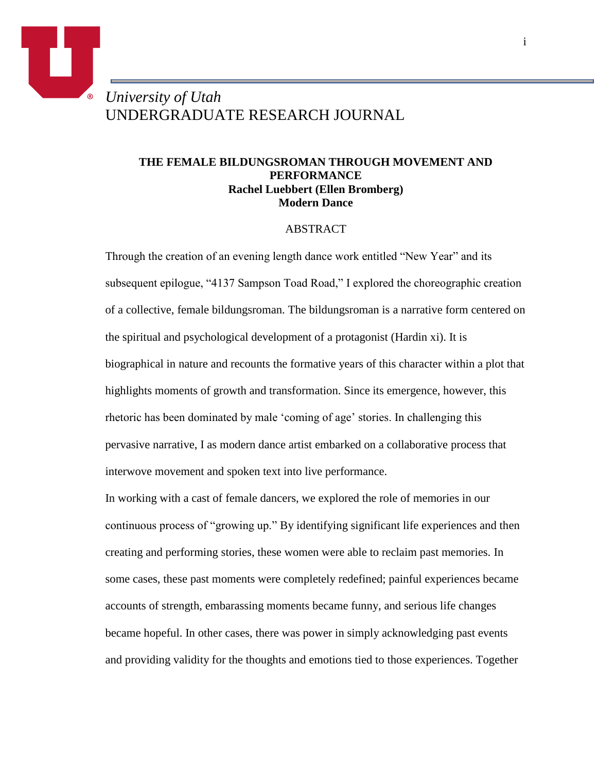# *University of Utah* UNDERGRADUATE RESEARCH JOURNAL

o

## **THE FEMALE BILDUNGSROMAN THROUGH MOVEMENT AND PERFORMANCE Rachel Luebbert (Ellen Bromberg) Modern Dance**

#### ABSTRACT

Through the creation of an evening length dance work entitled "New Year" and its subsequent epilogue, "4137 Sampson Toad Road," I explored the choreographic creation of a collective, female bildungsroman. The bildungsroman is a narrative form centered on the spiritual and psychological development of a protagonist (Hardin xi). It is biographical in nature and recounts the formative years of this character within a plot that highlights moments of growth and transformation. Since its emergence, however, this rhetoric has been dominated by male 'coming of age' stories. In challenging this pervasive narrative, I as modern dance artist embarked on a collaborative process that interwove movement and spoken text into live performance.

In working with a cast of female dancers, we explored the role of memories in our continuous process of "growing up." By identifying significant life experiences and then creating and performing stories, these women were able to reclaim past memories. In some cases, these past moments were completely redefined; painful experiences became accounts of strength, embarassing moments became funny, and serious life changes became hopeful. In other cases, there was power in simply acknowledging past events and providing validity for the thoughts and emotions tied to those experiences. Together

i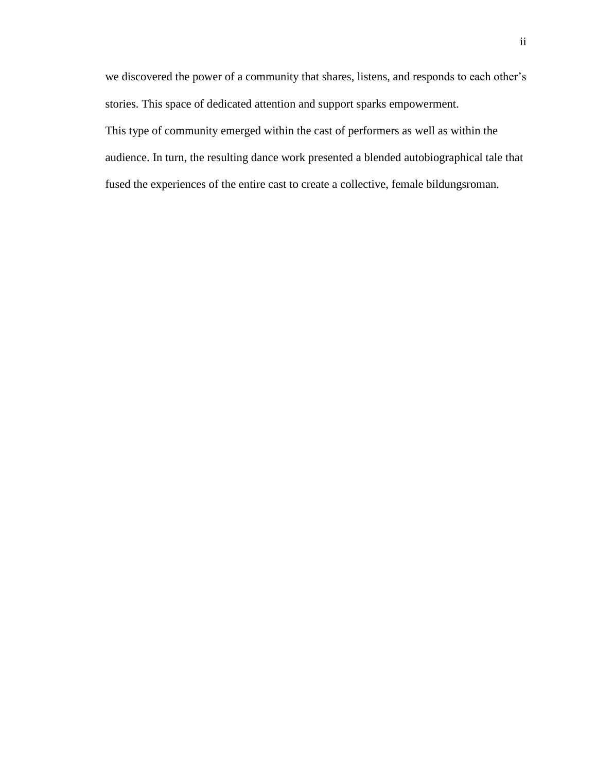we discovered the power of a community that shares, listens, and responds to each other's stories. This space of dedicated attention and support sparks empowerment. This type of community emerged within the cast of performers as well as within the audience. In turn, the resulting dance work presented a blended autobiographical tale that fused the experiences of the entire cast to create a collective, female bildungsroman.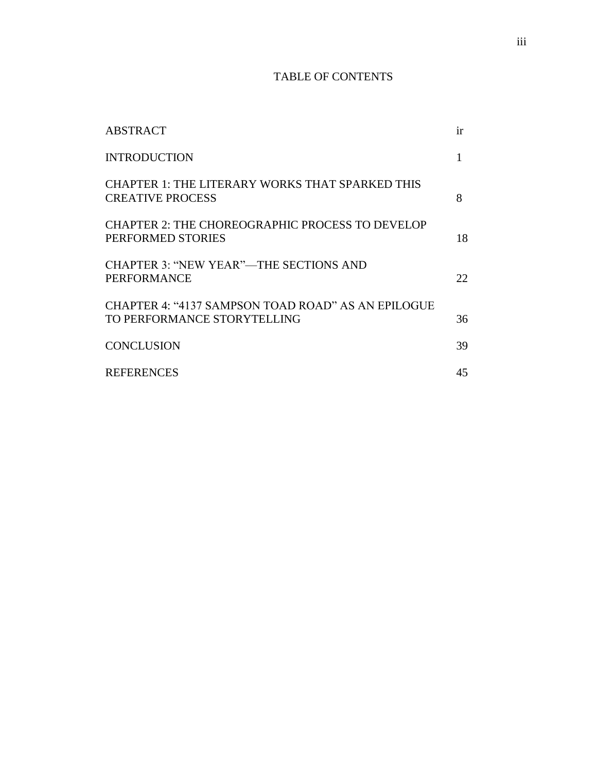## TABLE OF CONTENTS

| <b>ABSTRACT</b>                                                                   | ir  |
|-----------------------------------------------------------------------------------|-----|
| <b>INTRODUCTION</b>                                                               |     |
| <b>CHAPTER 1: THE LITERARY WORKS THAT SPARKED THIS</b><br><b>CREATIVE PROCESS</b> | 8   |
| <b>CHAPTER 2: THE CHOREOGRAPHIC PROCESS TO DEVELOP</b><br>PERFORMED STORIES       | 18  |
| <b>CHAPTER 3: "NEW YEAR"—THE SECTIONS AND</b><br><b>PERFORMANCE</b>               | 22. |
| CHAPTER 4: "4137 SAMPSON TOAD ROAD" AS AN EPILOGUE<br>TO PERFORMANCE STORYTELLING | 36  |
| <b>CONCLUSION</b>                                                                 | 39  |
| <b>REFERENCES</b>                                                                 | 45  |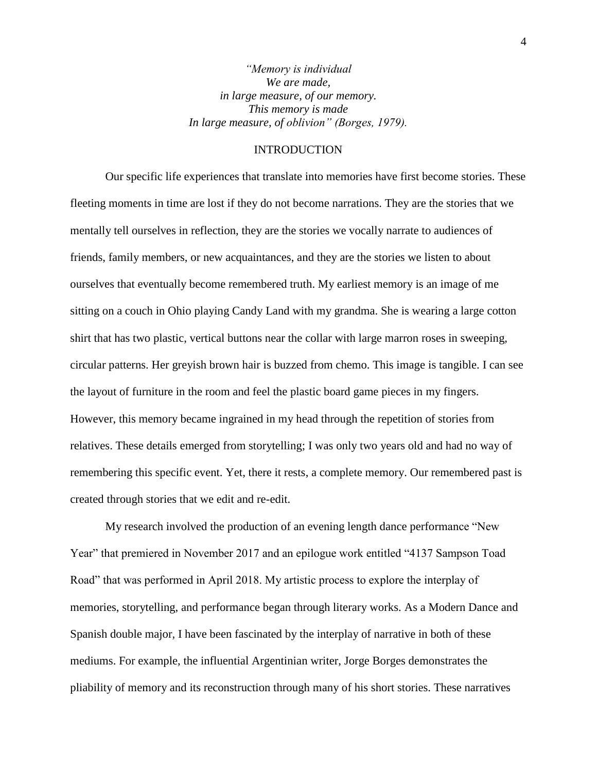*"Memory is individual We are made, in large measure, of our memory. This memory is made In large measure, of oblivion" (Borges, 1979).*

#### INTRODUCTION

Our specific life experiences that translate into memories have first become stories. These fleeting moments in time are lost if they do not become narrations. They are the stories that we mentally tell ourselves in reflection, they are the stories we vocally narrate to audiences of friends, family members, or new acquaintances, and they are the stories we listen to about ourselves that eventually become remembered truth. My earliest memory is an image of me sitting on a couch in Ohio playing Candy Land with my grandma. She is wearing a large cotton shirt that has two plastic, vertical buttons near the collar with large marron roses in sweeping, circular patterns. Her greyish brown hair is buzzed from chemo. This image is tangible. I can see the layout of furniture in the room and feel the plastic board game pieces in my fingers. However, this memory became ingrained in my head through the repetition of stories from relatives. These details emerged from storytelling; I was only two years old and had no way of remembering this specific event. Yet, there it rests, a complete memory. Our remembered past is created through stories that we edit and re-edit.

My research involved the production of an evening length dance performance "New Year" that premiered in November 2017 and an epilogue work entitled "4137 Sampson Toad Road" that was performed in April 2018. My artistic process to explore the interplay of memories, storytelling, and performance began through literary works. As a Modern Dance and Spanish double major, I have been fascinated by the interplay of narrative in both of these mediums. For example, the influential Argentinian writer, Jorge Borges demonstrates the pliability of memory and its reconstruction through many of his short stories. These narratives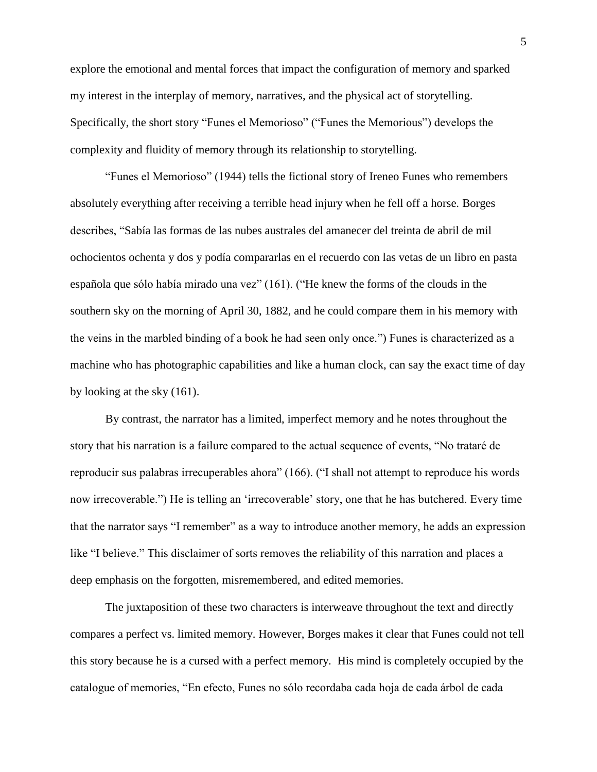explore the emotional and mental forces that impact the configuration of memory and sparked my interest in the interplay of memory, narratives, and the physical act of storytelling. Specifically, the short story "Funes el Memorioso" ("Funes the Memorious") develops the complexity and fluidity of memory through its relationship to storytelling.

"Funes el Memorioso" (1944) tells the fictional story of Ireneo Funes who remembers absolutely everything after receiving a terrible head injury when he fell off a horse. Borges describes, "Sabía las formas de las nubes australes del amanecer del treinta de abril de mil ochocientos ochenta y dos y podía compararlas en el recuerdo con las vetas de un libro en pasta española que sólo había mirado una vez" (161). ("He knew the forms of the clouds in the southern sky on the morning of April 30, 1882, and he could compare them in his memory with the veins in the marbled binding of a book he had seen only once.") Funes is characterized as a machine who has photographic capabilities and like a human clock, can say the exact time of day by looking at the sky (161).

By contrast, the narrator has a limited, imperfect memory and he notes throughout the story that his narration is a failure compared to the actual sequence of events, "No trataré de reproducir sus palabras irrecuperables ahora" (166). ("I shall not attempt to reproduce his words now irrecoverable.") He is telling an 'irrecoverable' story, one that he has butchered. Every time that the narrator says "I remember" as a way to introduce another memory, he adds an expression like "I believe." This disclaimer of sorts removes the reliability of this narration and places a deep emphasis on the forgotten, misremembered, and edited memories.

The juxtaposition of these two characters is interweave throughout the text and directly compares a perfect vs. limited memory. However, Borges makes it clear that Funes could not tell this story because he is a cursed with a perfect memory. His mind is completely occupied by the catalogue of memories, "En efecto, Funes no sólo recordaba cada hoja de cada árbol de cada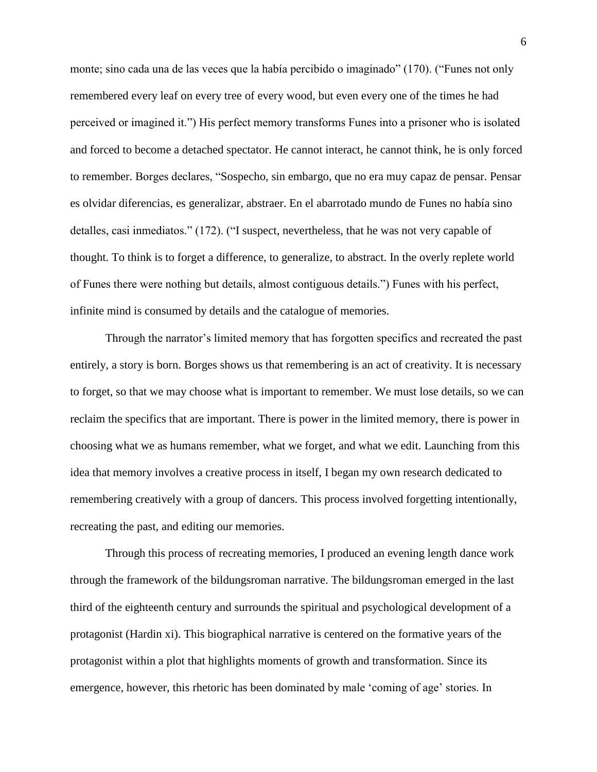monte; sino cada una de las veces que la había percibido o imaginado" (170). ("Funes not only remembered every leaf on every tree of every wood, but even every one of the times he had perceived or imagined it.") His perfect memory transforms Funes into a prisoner who is isolated and forced to become a detached spectator. He cannot interact, he cannot think, he is only forced to remember. Borges declares, "Sospecho, sin embargo, que no era muy capaz de pensar. Pensar es olvidar diferencias, es generalizar, abstraer. En el abarrotado mundo de Funes no había sino detalles, casi inmediatos." (172). ("I suspect, nevertheless, that he was not very capable of thought. To think is to forget a difference, to generalize, to abstract. In the overly replete world of Funes there were nothing but details, almost contiguous details.") Funes with his perfect, infinite mind is consumed by details and the catalogue of memories.

Through the narrator's limited memory that has forgotten specifics and recreated the past entirely, a story is born. Borges shows us that remembering is an act of creativity. It is necessary to forget, so that we may choose what is important to remember. We must lose details, so we can reclaim the specifics that are important. There is power in the limited memory, there is power in choosing what we as humans remember, what we forget, and what we edit. Launching from this idea that memory involves a creative process in itself, I began my own research dedicated to remembering creatively with a group of dancers. This process involved forgetting intentionally, recreating the past, and editing our memories.

Through this process of recreating memories, I produced an evening length dance work through the framework of the bildungsroman narrative. The bildungsroman emerged in the last third of the eighteenth century and surrounds the spiritual and psychological development of a protagonist (Hardin xi). This biographical narrative is centered on the formative years of the protagonist within a plot that highlights moments of growth and transformation. Since its emergence, however, this rhetoric has been dominated by male 'coming of age' stories. In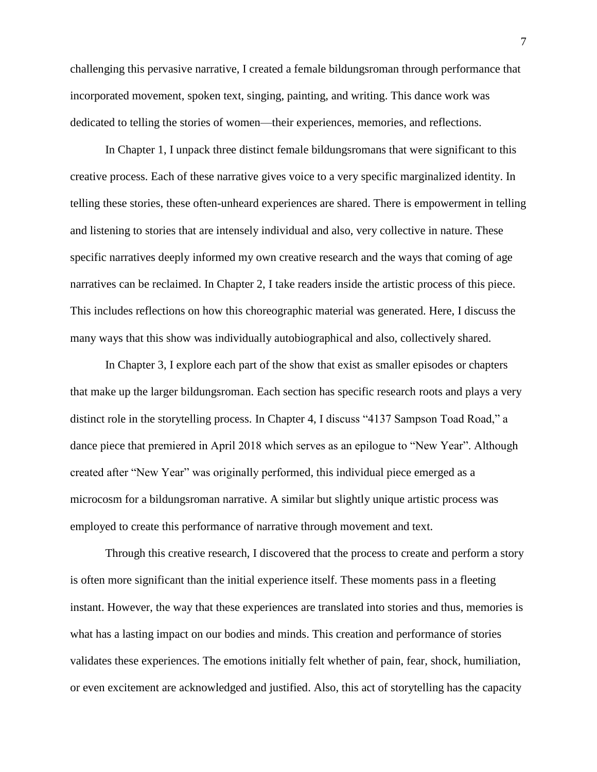challenging this pervasive narrative, I created a female bildungsroman through performance that incorporated movement, spoken text, singing, painting, and writing. This dance work was dedicated to telling the stories of women—their experiences, memories, and reflections.

In Chapter 1, I unpack three distinct female bildungsromans that were significant to this creative process. Each of these narrative gives voice to a very specific marginalized identity. In telling these stories, these often-unheard experiences are shared. There is empowerment in telling and listening to stories that are intensely individual and also, very collective in nature. These specific narratives deeply informed my own creative research and the ways that coming of age narratives can be reclaimed. In Chapter 2, I take readers inside the artistic process of this piece. This includes reflections on how this choreographic material was generated. Here, I discuss the many ways that this show was individually autobiographical and also, collectively shared.

In Chapter 3, I explore each part of the show that exist as smaller episodes or chapters that make up the larger bildungsroman. Each section has specific research roots and plays a very distinct role in the storytelling process. In Chapter 4, I discuss "4137 Sampson Toad Road," a dance piece that premiered in April 2018 which serves as an epilogue to "New Year". Although created after "New Year" was originally performed, this individual piece emerged as a microcosm for a bildungsroman narrative. A similar but slightly unique artistic process was employed to create this performance of narrative through movement and text.

Through this creative research, I discovered that the process to create and perform a story is often more significant than the initial experience itself. These moments pass in a fleeting instant. However, the way that these experiences are translated into stories and thus, memories is what has a lasting impact on our bodies and minds. This creation and performance of stories validates these experiences. The emotions initially felt whether of pain, fear, shock, humiliation, or even excitement are acknowledged and justified. Also, this act of storytelling has the capacity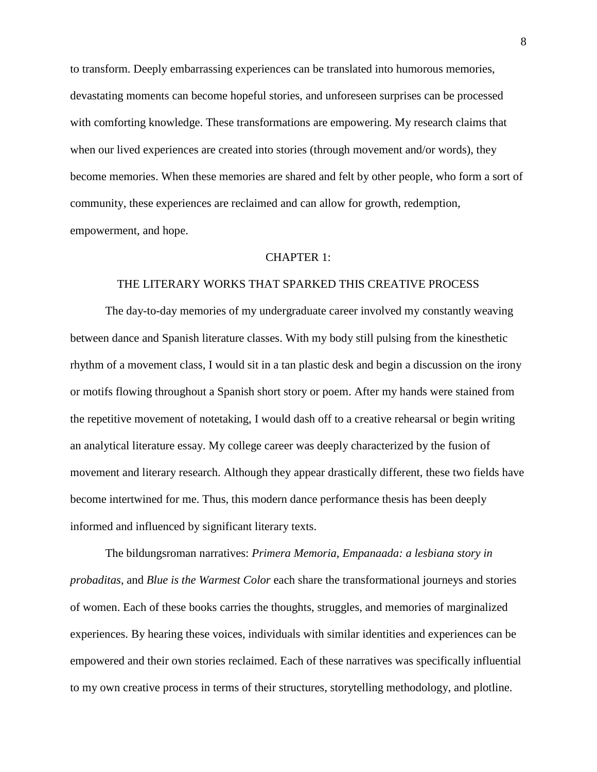to transform. Deeply embarrassing experiences can be translated into humorous memories, devastating moments can become hopeful stories, and unforeseen surprises can be processed with comforting knowledge. These transformations are empowering. My research claims that when our lived experiences are created into stories (through movement and/or words), they become memories. When these memories are shared and felt by other people, who form a sort of community, these experiences are reclaimed and can allow for growth, redemption, empowerment, and hope.

## CHAPTER 1:

## THE LITERARY WORKS THAT SPARKED THIS CREATIVE PROCESS

The day-to-day memories of my undergraduate career involved my constantly weaving between dance and Spanish literature classes. With my body still pulsing from the kinesthetic rhythm of a movement class, I would sit in a tan plastic desk and begin a discussion on the irony or motifs flowing throughout a Spanish short story or poem. After my hands were stained from the repetitive movement of notetaking, I would dash off to a creative rehearsal or begin writing an analytical literature essay. My college career was deeply characterized by the fusion of movement and literary research. Although they appear drastically different, these two fields have become intertwined for me. Thus, this modern dance performance thesis has been deeply informed and influenced by significant literary texts.

The bildungsroman narratives: *Primera Memoria*, *Empanaada: a lesbiana story in probaditas*, and *Blue is the Warmest Color* each share the transformational journeys and stories of women. Each of these books carries the thoughts, struggles, and memories of marginalized experiences. By hearing these voices, individuals with similar identities and experiences can be empowered and their own stories reclaimed. Each of these narratives was specifically influential to my own creative process in terms of their structures, storytelling methodology, and plotline.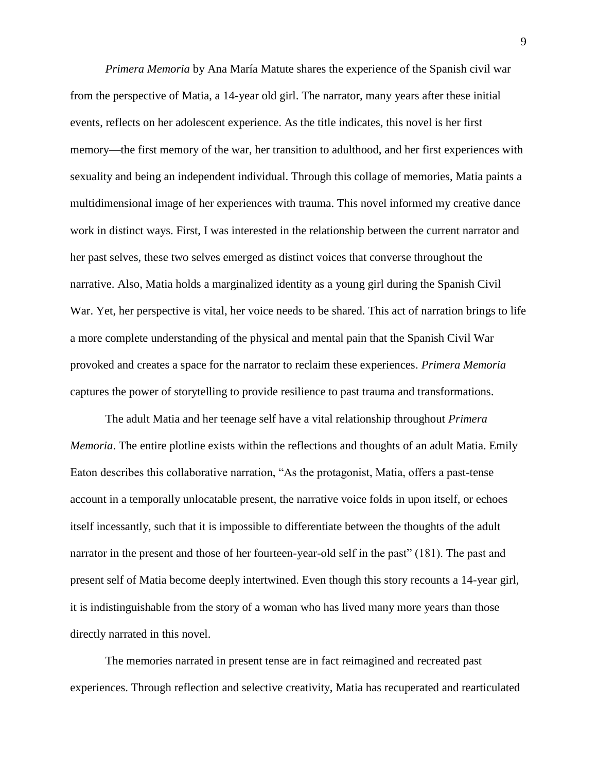*Primera Memoria* by Ana María Matute shares the experience of the Spanish civil war from the perspective of Matia, a 14-year old girl. The narrator, many years after these initial events, reflects on her adolescent experience. As the title indicates, this novel is her first memory—the first memory of the war, her transition to adulthood, and her first experiences with sexuality and being an independent individual. Through this collage of memories, Matia paints a multidimensional image of her experiences with trauma. This novel informed my creative dance work in distinct ways. First, I was interested in the relationship between the current narrator and her past selves, these two selves emerged as distinct voices that converse throughout the narrative. Also, Matia holds a marginalized identity as a young girl during the Spanish Civil War. Yet, her perspective is vital, her voice needs to be shared. This act of narration brings to life a more complete understanding of the physical and mental pain that the Spanish Civil War provoked and creates a space for the narrator to reclaim these experiences. *Primera Memoria* captures the power of storytelling to provide resilience to past trauma and transformations.

The adult Matia and her teenage self have a vital relationship throughout *Primera Memoria*. The entire plotline exists within the reflections and thoughts of an adult Matia. Emily Eaton describes this collaborative narration, "As the protagonist, Matia, offers a past-tense account in a temporally unlocatable present, the narrative voice folds in upon itself, or echoes itself incessantly, such that it is impossible to differentiate between the thoughts of the adult narrator in the present and those of her fourteen-year-old self in the past" (181). The past and present self of Matia become deeply intertwined. Even though this story recounts a 14-year girl, it is indistinguishable from the story of a woman who has lived many more years than those directly narrated in this novel.

The memories narrated in present tense are in fact reimagined and recreated past experiences. Through reflection and selective creativity, Matia has recuperated and rearticulated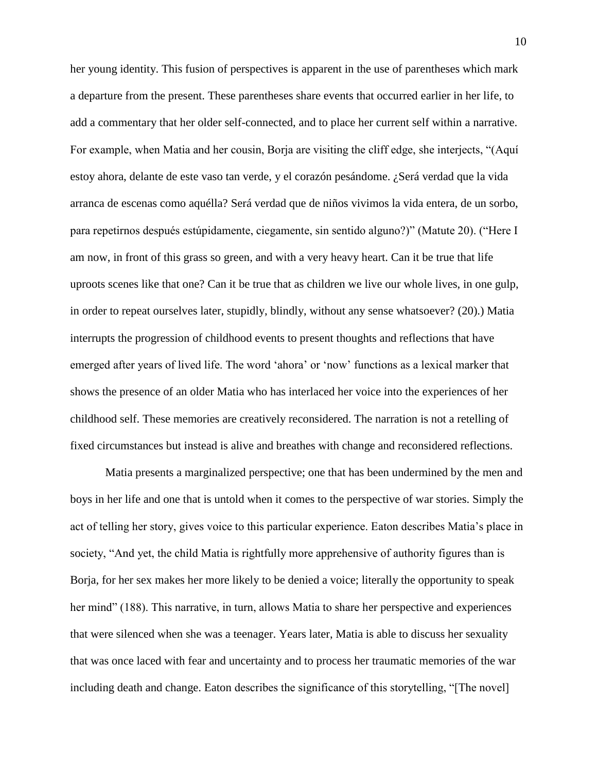her young identity. This fusion of perspectives is apparent in the use of parentheses which mark a departure from the present. These parentheses share events that occurred earlier in her life, to add a commentary that her older self-connected, and to place her current self within a narrative. For example, when Matia and her cousin, Borja are visiting the cliff edge, she interjects, "(Aquí estoy ahora, delante de este vaso tan verde, y el corazón pesándome. ¿Será verdad que la vida arranca de escenas como aquélla? Será verdad que de niños vivimos la vida entera, de un sorbo, para repetirnos después estúpidamente, ciegamente, sin sentido alguno?)" (Matute 20). ("Here I am now, in front of this grass so green, and with a very heavy heart. Can it be true that life uproots scenes like that one? Can it be true that as children we live our whole lives, in one gulp, in order to repeat ourselves later, stupidly, blindly, without any sense whatsoever? (20).) Matia interrupts the progression of childhood events to present thoughts and reflections that have emerged after years of lived life. The word 'ahora' or 'now' functions as a lexical marker that shows the presence of an older Matia who has interlaced her voice into the experiences of her childhood self. These memories are creatively reconsidered. The narration is not a retelling of fixed circumstances but instead is alive and breathes with change and reconsidered reflections.

Matia presents a marginalized perspective; one that has been undermined by the men and boys in her life and one that is untold when it comes to the perspective of war stories. Simply the act of telling her story, gives voice to this particular experience. Eaton describes Matia's place in society, "And yet, the child Matia is rightfully more apprehensive of authority figures than is Borja, for her sex makes her more likely to be denied a voice; literally the opportunity to speak her mind" (188). This narrative, in turn, allows Matia to share her perspective and experiences that were silenced when she was a teenager. Years later, Matia is able to discuss her sexuality that was once laced with fear and uncertainty and to process her traumatic memories of the war including death and change. Eaton describes the significance of this storytelling, "[The novel]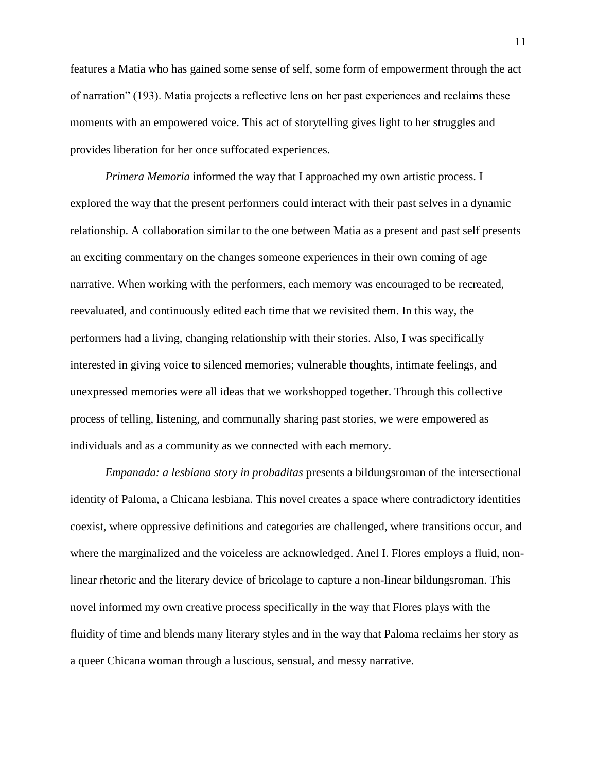features a Matia who has gained some sense of self, some form of empowerment through the act of narration" (193). Matia projects a reflective lens on her past experiences and reclaims these moments with an empowered voice. This act of storytelling gives light to her struggles and provides liberation for her once suffocated experiences.

*Primera Memoria* informed the way that I approached my own artistic process. I explored the way that the present performers could interact with their past selves in a dynamic relationship. A collaboration similar to the one between Matia as a present and past self presents an exciting commentary on the changes someone experiences in their own coming of age narrative. When working with the performers, each memory was encouraged to be recreated, reevaluated, and continuously edited each time that we revisited them. In this way, the performers had a living, changing relationship with their stories. Also, I was specifically interested in giving voice to silenced memories; vulnerable thoughts, intimate feelings, and unexpressed memories were all ideas that we workshopped together. Through this collective process of telling, listening, and communally sharing past stories, we were empowered as individuals and as a community as we connected with each memory.

*Empanada: a lesbiana story in probaditas* presents a bildungsroman of the intersectional identity of Paloma, a Chicana lesbiana. This novel creates a space where contradictory identities coexist, where oppressive definitions and categories are challenged, where transitions occur, and where the marginalized and the voiceless are acknowledged. Anel I. Flores employs a fluid, nonlinear rhetoric and the literary device of bricolage to capture a non-linear bildungsroman. This novel informed my own creative process specifically in the way that Flores plays with the fluidity of time and blends many literary styles and in the way that Paloma reclaims her story as a queer Chicana woman through a luscious, sensual, and messy narrative.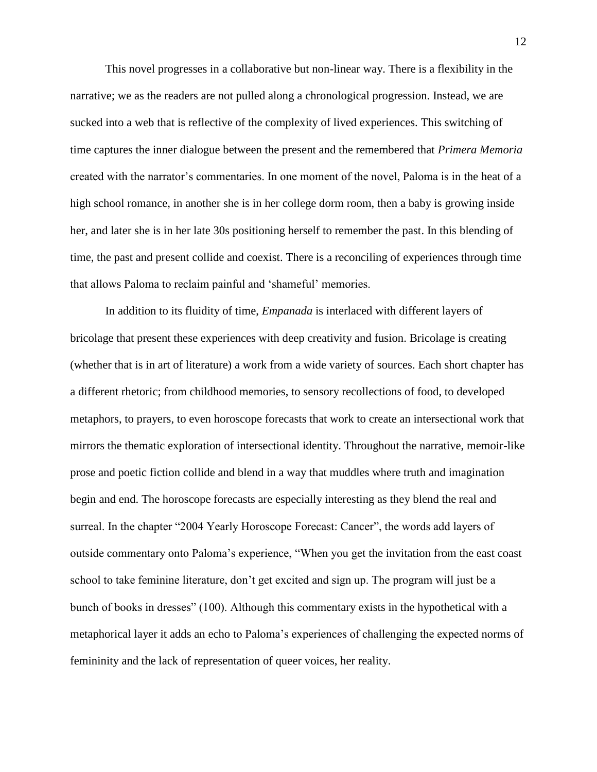This novel progresses in a collaborative but non-linear way. There is a flexibility in the narrative; we as the readers are not pulled along a chronological progression. Instead, we are sucked into a web that is reflective of the complexity of lived experiences. This switching of time captures the inner dialogue between the present and the remembered that *Primera Memoria* created with the narrator's commentaries. In one moment of the novel, Paloma is in the heat of a high school romance, in another she is in her college dorm room, then a baby is growing inside her, and later she is in her late 30s positioning herself to remember the past. In this blending of time, the past and present collide and coexist. There is a reconciling of experiences through time that allows Paloma to reclaim painful and 'shameful' memories.

In addition to its fluidity of time, *Empanada* is interlaced with different layers of bricolage that present these experiences with deep creativity and fusion. Bricolage is creating (whether that is in art of literature) a work from a wide variety of sources. Each short chapter has a different rhetoric; from childhood memories, to sensory recollections of food, to developed metaphors, to prayers, to even horoscope forecasts that work to create an intersectional work that mirrors the thematic exploration of intersectional identity. Throughout the narrative, memoir-like prose and poetic fiction collide and blend in a way that muddles where truth and imagination begin and end. The horoscope forecasts are especially interesting as they blend the real and surreal. In the chapter "2004 Yearly Horoscope Forecast: Cancer", the words add layers of outside commentary onto Paloma's experience, "When you get the invitation from the east coast school to take feminine literature, don't get excited and sign up. The program will just be a bunch of books in dresses" (100). Although this commentary exists in the hypothetical with a metaphorical layer it adds an echo to Paloma's experiences of challenging the expected norms of femininity and the lack of representation of queer voices, her reality.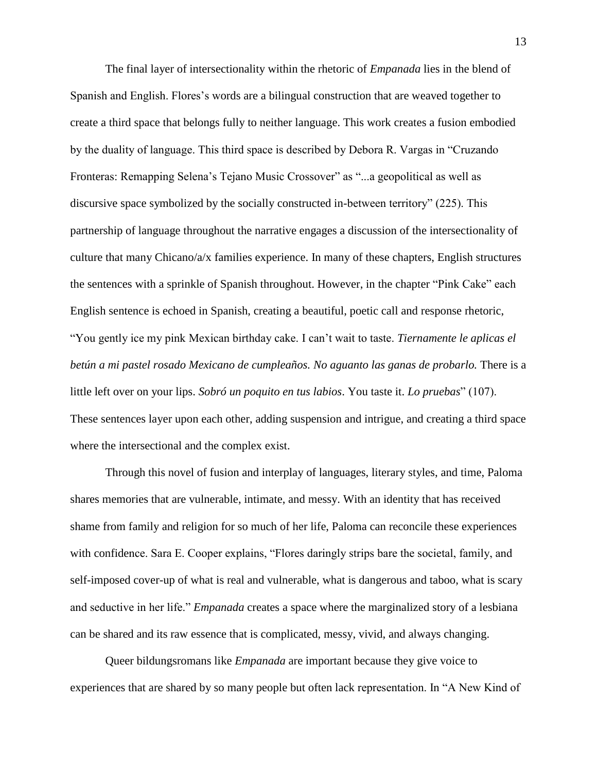The final layer of intersectionality within the rhetoric of *Empanada* lies in the blend of Spanish and English. Flores's words are a bilingual construction that are weaved together to create a third space that belongs fully to neither language. This work creates a fusion embodied by the duality of language. This third space is described by Debora R. Vargas in "Cruzando Fronteras: Remapping Selena's Tejano Music Crossover" as "...a geopolitical as well as discursive space symbolized by the socially constructed in-between territory" (225). This partnership of language throughout the narrative engages a discussion of the intersectionality of culture that many Chicano/a/x families experience. In many of these chapters, English structures the sentences with a sprinkle of Spanish throughout. However, in the chapter "Pink Cake" each English sentence is echoed in Spanish, creating a beautiful, poetic call and response rhetoric, "You gently ice my pink Mexican birthday cake. I can't wait to taste. *Tiernamente le aplicas el betún a mi pastel rosado Mexicano de cumpleaños. No aguanto las ganas de probarlo.* There is a little left over on your lips. *Sobró un poquito en tus labios*. You taste it. *Lo pruebas*" (107). These sentences layer upon each other, adding suspension and intrigue, and creating a third space where the intersectional and the complex exist.

Through this novel of fusion and interplay of languages, literary styles, and time, Paloma shares memories that are vulnerable, intimate, and messy. With an identity that has received shame from family and religion for so much of her life, Paloma can reconcile these experiences with confidence. Sara E. Cooper explains, "Flores daringly strips bare the societal, family, and self-imposed cover-up of what is real and vulnerable, what is dangerous and taboo, what is scary and seductive in her life." *Empanada* creates a space where the marginalized story of a lesbiana can be shared and its raw essence that is complicated, messy, vivid, and always changing.

Queer bildungsromans like *Empanada* are important because they give voice to experiences that are shared by so many people but often lack representation. In "A New Kind of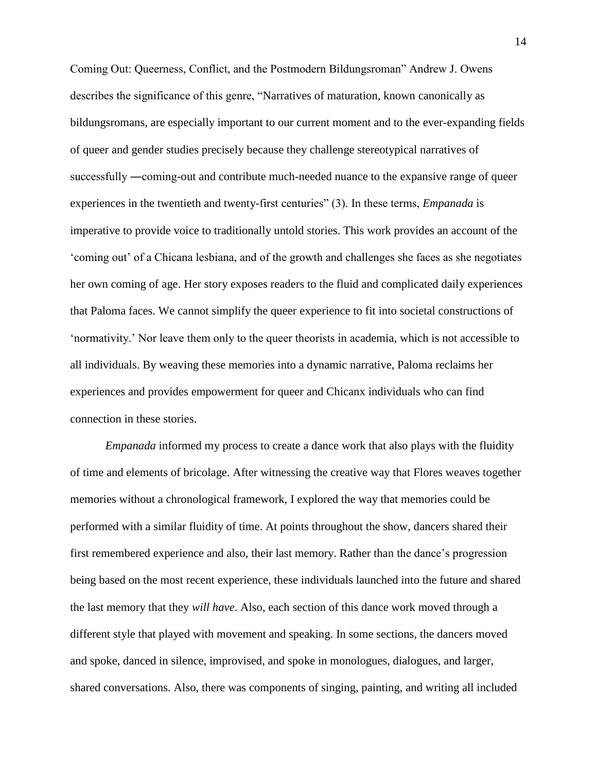Coming Out: Queerness, Conflict, and the Postmodern Bildungsroman" Andrew J. Owens describes the significance of this genre, "Narratives of maturation, known canonically as bildungsromans, are especially important to our current moment and to the ever-expanding fields of queer and gender studies precisely because they challenge stereotypical narratives of successfully ―coming-out and contribute much-needed nuance to the expansive range of queer experiences in the twentieth and twenty-first centuries" (3). In these terms, *Empanada* is imperative to provide voice to traditionally untold stories. This work provides an account of the 'coming out' of a Chicana lesbiana, and of the growth and challenges she faces as she negotiates her own coming of age. Her story exposes readers to the fluid and complicated daily experiences that Paloma faces. We cannot simplify the queer experience to fit into societal constructions of 'normativity.' Nor leave them only to the queer theorists in academia, which is not accessible to all individuals. By weaving these memories into a dynamic narrative, Paloma reclaims her experiences and provides empowerment for queer and Chicanx individuals who can find connection in these stories.

*Empanada* informed my process to create a dance work that also plays with the fluidity of time and elements of bricolage. After witnessing the creative way that Flores weaves together memories without a chronological framework, I explored the way that memories could be performed with a similar fluidity of time. At points throughout the show, dancers shared their first remembered experience and also, their last memory. Rather than the dance's progression being based on the most recent experience, these individuals launched into the future and shared the last memory that they *will have*. Also, each section of this dance work moved through a different style that played with movement and speaking. In some sections, the dancers moved and spoke, danced in silence, improvised, and spoke in monologues, dialogues, and larger, shared conversations. Also, there was components of singing, painting, and writing all included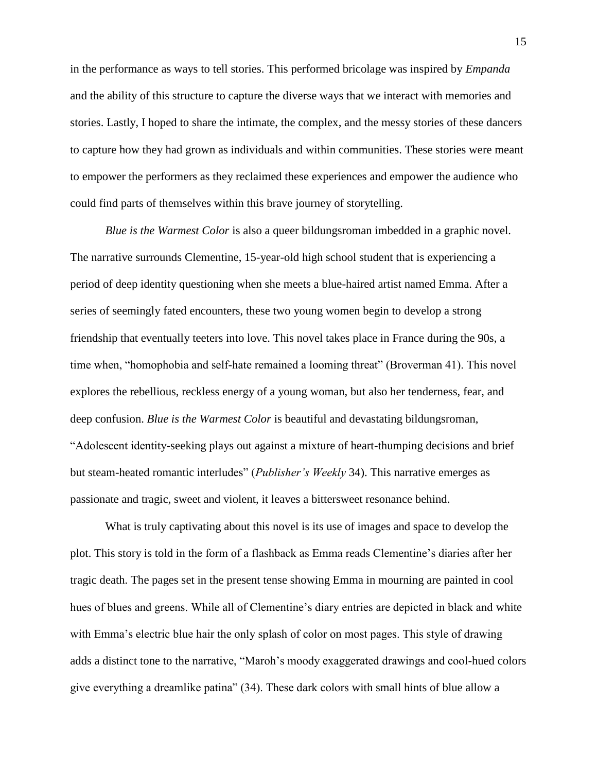in the performance as ways to tell stories. This performed bricolage was inspired by *Empanda* and the ability of this structure to capture the diverse ways that we interact with memories and stories. Lastly, I hoped to share the intimate, the complex, and the messy stories of these dancers to capture how they had grown as individuals and within communities. These stories were meant to empower the performers as they reclaimed these experiences and empower the audience who could find parts of themselves within this brave journey of storytelling.

*Blue is the Warmest Color* is also a queer bildungsroman imbedded in a graphic novel. The narrative surrounds Clementine, 15-year-old high school student that is experiencing a period of deep identity questioning when she meets a blue-haired artist named Emma. After a series of seemingly fated encounters, these two young women begin to develop a strong friendship that eventually teeters into love. This novel takes place in France during the 90s, a time when, "homophobia and self-hate remained a looming threat" (Broverman 41). This novel explores the rebellious, reckless energy of a young woman, but also her tenderness, fear, and deep confusion. *Blue is the Warmest Color* is beautiful and devastating bildungsroman, "Adolescent identity-seeking plays out against a mixture of heart-thumping decisions and brief but steam-heated romantic interludes" (*Publisher's Weekly* 34). This narrative emerges as passionate and tragic, sweet and violent, it leaves a bittersweet resonance behind.

What is truly captivating about this novel is its use of images and space to develop the plot. This story is told in the form of a flashback as Emma reads Clementine's diaries after her tragic death. The pages set in the present tense showing Emma in mourning are painted in cool hues of blues and greens. While all of Clementine's diary entries are depicted in black and white with Emma's electric blue hair the only splash of color on most pages. This style of drawing adds a distinct tone to the narrative, "Maroh's moody exaggerated drawings and cool-hued colors give everything a dreamlike patina" (34). These dark colors with small hints of blue allow a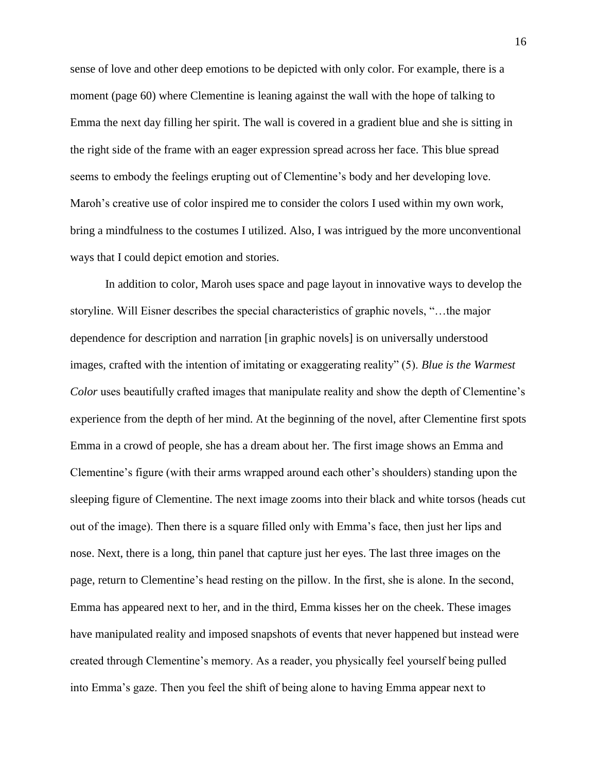sense of love and other deep emotions to be depicted with only color. For example, there is a moment (page 60) where Clementine is leaning against the wall with the hope of talking to Emma the next day filling her spirit. The wall is covered in a gradient blue and she is sitting in the right side of the frame with an eager expression spread across her face. This blue spread seems to embody the feelings erupting out of Clementine's body and her developing love. Maroh's creative use of color inspired me to consider the colors I used within my own work, bring a mindfulness to the costumes I utilized. Also, I was intrigued by the more unconventional ways that I could depict emotion and stories.

In addition to color, Maroh uses space and page layout in innovative ways to develop the storyline. Will Eisner describes the special characteristics of graphic novels, "…the major dependence for description and narration [in graphic novels] is on universally understood images, crafted with the intention of imitating or exaggerating reality" (5). *Blue is the Warmest Color* uses beautifully crafted images that manipulate reality and show the depth of Clementine's experience from the depth of her mind. At the beginning of the novel, after Clementine first spots Emma in a crowd of people, she has a dream about her. The first image shows an Emma and Clementine's figure (with their arms wrapped around each other's shoulders) standing upon the sleeping figure of Clementine. The next image zooms into their black and white torsos (heads cut out of the image). Then there is a square filled only with Emma's face, then just her lips and nose. Next, there is a long, thin panel that capture just her eyes. The last three images on the page, return to Clementine's head resting on the pillow. In the first, she is alone. In the second, Emma has appeared next to her, and in the third, Emma kisses her on the cheek. These images have manipulated reality and imposed snapshots of events that never happened but instead were created through Clementine's memory. As a reader, you physically feel yourself being pulled into Emma's gaze. Then you feel the shift of being alone to having Emma appear next to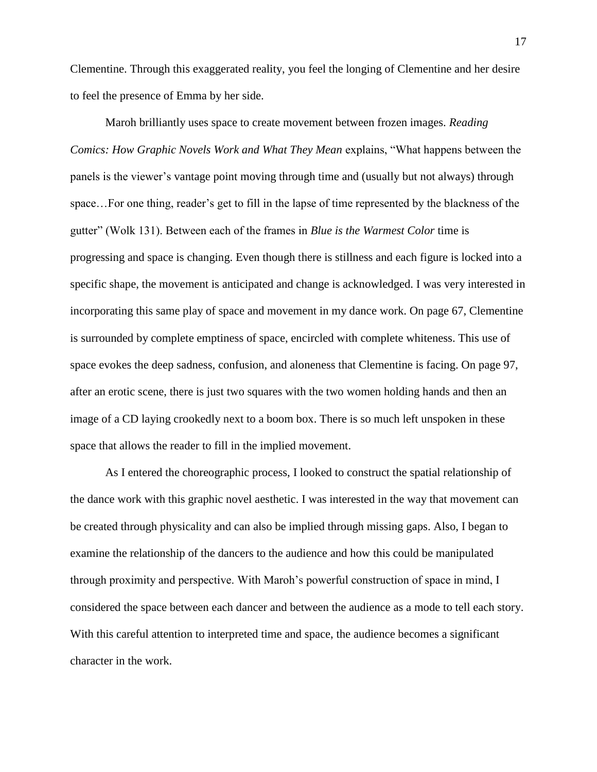Clementine. Through this exaggerated reality, you feel the longing of Clementine and her desire to feel the presence of Emma by her side.

Maroh brilliantly uses space to create movement between frozen images. *Reading Comics: How Graphic Novels Work and What They Mean* explains, "What happens between the panels is the viewer's vantage point moving through time and (usually but not always) through space…For one thing, reader's get to fill in the lapse of time represented by the blackness of the gutter" (Wolk 131). Between each of the frames in *Blue is the Warmest Color* time is progressing and space is changing. Even though there is stillness and each figure is locked into a specific shape, the movement is anticipated and change is acknowledged. I was very interested in incorporating this same play of space and movement in my dance work. On page 67, Clementine is surrounded by complete emptiness of space, encircled with complete whiteness. This use of space evokes the deep sadness, confusion, and aloneness that Clementine is facing. On page 97, after an erotic scene, there is just two squares with the two women holding hands and then an image of a CD laying crookedly next to a boom box. There is so much left unspoken in these space that allows the reader to fill in the implied movement.

As I entered the choreographic process, I looked to construct the spatial relationship of the dance work with this graphic novel aesthetic. I was interested in the way that movement can be created through physicality and can also be implied through missing gaps. Also, I began to examine the relationship of the dancers to the audience and how this could be manipulated through proximity and perspective. With Maroh's powerful construction of space in mind, I considered the space between each dancer and between the audience as a mode to tell each story. With this careful attention to interpreted time and space, the audience becomes a significant character in the work.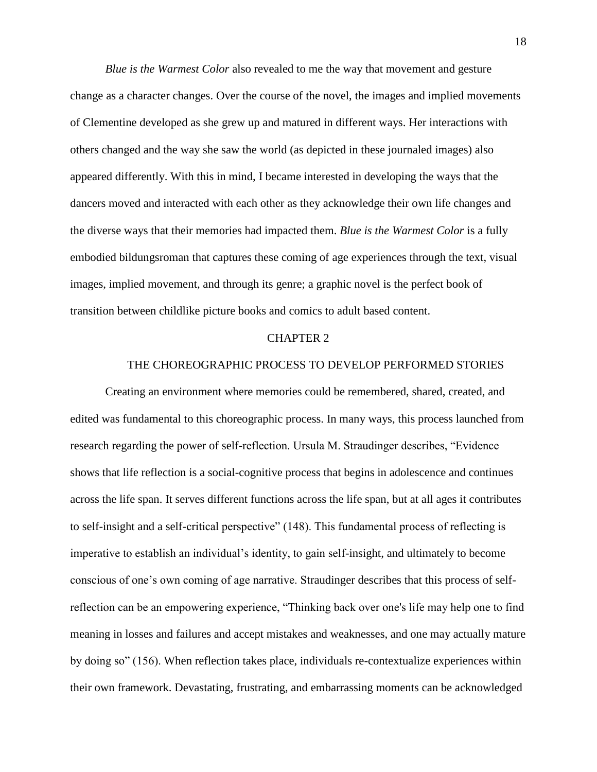*Blue is the Warmest Color* also revealed to me the way that movement and gesture change as a character changes. Over the course of the novel, the images and implied movements of Clementine developed as she grew up and matured in different ways. Her interactions with others changed and the way she saw the world (as depicted in these journaled images) also appeared differently. With this in mind, I became interested in developing the ways that the dancers moved and interacted with each other as they acknowledge their own life changes and the diverse ways that their memories had impacted them. *Blue is the Warmest Color* is a fully embodied bildungsroman that captures these coming of age experiences through the text, visual images, implied movement, and through its genre; a graphic novel is the perfect book of transition between childlike picture books and comics to adult based content.

#### CHAPTER 2

## THE CHOREOGRAPHIC PROCESS TO DEVELOP PERFORMED STORIES

Creating an environment where memories could be remembered, shared, created, and edited was fundamental to this choreographic process. In many ways, this process launched from research regarding the power of self-reflection. Ursula M. Straudinger describes, "Evidence shows that life reflection is a social-cognitive process that begins in adolescence and continues across the life span. It serves different functions across the life span, but at all ages it contributes to self-insight and a self-critical perspective" (148). This fundamental process of reflecting is imperative to establish an individual's identity, to gain self-insight, and ultimately to become conscious of one's own coming of age narrative. Straudinger describes that this process of selfreflection can be an empowering experience, "Thinking back over one's life may help one to find meaning in losses and failures and accept mistakes and weaknesses, and one may actually mature by doing so" (156). When reflection takes place, individuals re-contextualize experiences within their own framework. Devastating, frustrating, and embarrassing moments can be acknowledged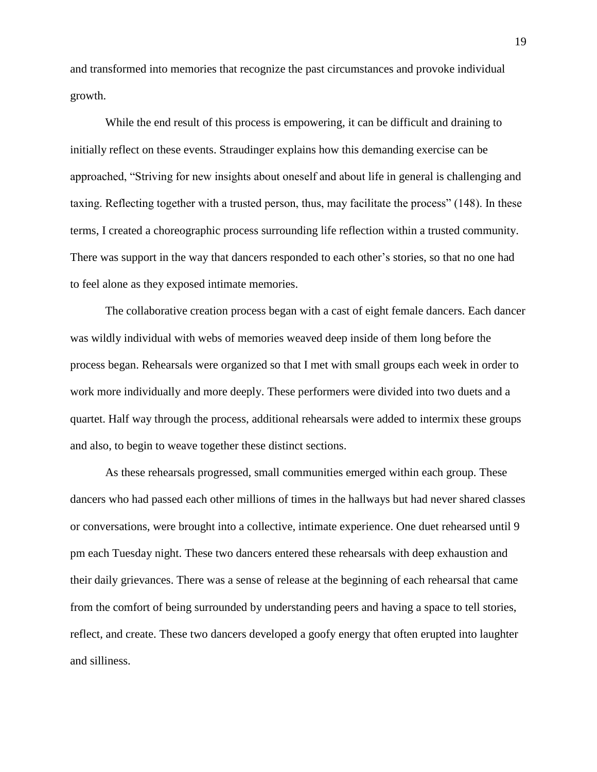and transformed into memories that recognize the past circumstances and provoke individual growth.

While the end result of this process is empowering, it can be difficult and draining to initially reflect on these events. Straudinger explains how this demanding exercise can be approached, "Striving for new insights about oneself and about life in general is challenging and taxing. Reflecting together with a trusted person, thus, may facilitate the process" (148). In these terms, I created a choreographic process surrounding life reflection within a trusted community. There was support in the way that dancers responded to each other's stories, so that no one had to feel alone as they exposed intimate memories.

The collaborative creation process began with a cast of eight female dancers. Each dancer was wildly individual with webs of memories weaved deep inside of them long before the process began. Rehearsals were organized so that I met with small groups each week in order to work more individually and more deeply. These performers were divided into two duets and a quartet. Half way through the process, additional rehearsals were added to intermix these groups and also, to begin to weave together these distinct sections.

As these rehearsals progressed, small communities emerged within each group. These dancers who had passed each other millions of times in the hallways but had never shared classes or conversations, were brought into a collective, intimate experience. One duet rehearsed until 9 pm each Tuesday night. These two dancers entered these rehearsals with deep exhaustion and their daily grievances. There was a sense of release at the beginning of each rehearsal that came from the comfort of being surrounded by understanding peers and having a space to tell stories, reflect, and create. These two dancers developed a goofy energy that often erupted into laughter and silliness.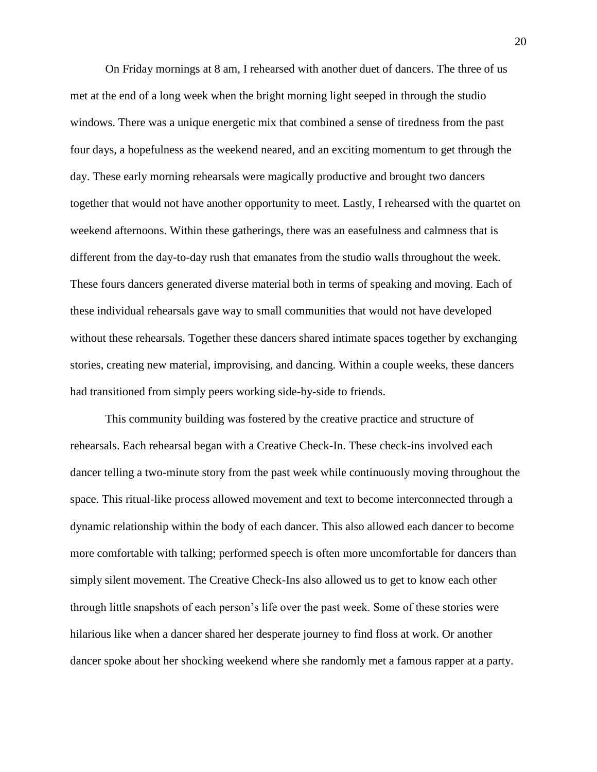On Friday mornings at 8 am, I rehearsed with another duet of dancers. The three of us met at the end of a long week when the bright morning light seeped in through the studio windows. There was a unique energetic mix that combined a sense of tiredness from the past four days, a hopefulness as the weekend neared, and an exciting momentum to get through the day. These early morning rehearsals were magically productive and brought two dancers together that would not have another opportunity to meet. Lastly, I rehearsed with the quartet on weekend afternoons. Within these gatherings, there was an easefulness and calmness that is different from the day-to-day rush that emanates from the studio walls throughout the week. These fours dancers generated diverse material both in terms of speaking and moving. Each of these individual rehearsals gave way to small communities that would not have developed without these rehearsals. Together these dancers shared intimate spaces together by exchanging stories, creating new material, improvising, and dancing. Within a couple weeks, these dancers had transitioned from simply peers working side-by-side to friends.

This community building was fostered by the creative practice and structure of rehearsals. Each rehearsal began with a Creative Check-In. These check-ins involved each dancer telling a two-minute story from the past week while continuously moving throughout the space. This ritual-like process allowed movement and text to become interconnected through a dynamic relationship within the body of each dancer. This also allowed each dancer to become more comfortable with talking; performed speech is often more uncomfortable for dancers than simply silent movement. The Creative Check-Ins also allowed us to get to know each other through little snapshots of each person's life over the past week. Some of these stories were hilarious like when a dancer shared her desperate journey to find floss at work. Or another dancer spoke about her shocking weekend where she randomly met a famous rapper at a party.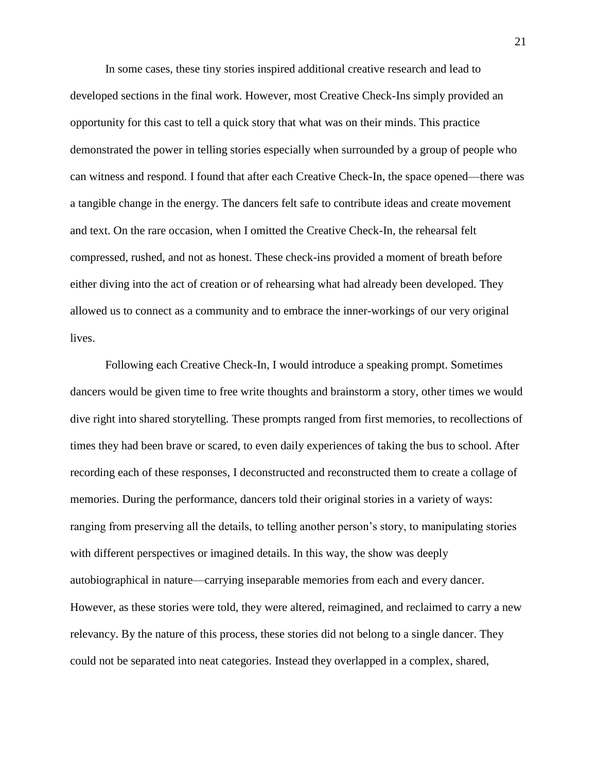In some cases, these tiny stories inspired additional creative research and lead to developed sections in the final work. However, most Creative Check-Ins simply provided an opportunity for this cast to tell a quick story that what was on their minds. This practice demonstrated the power in telling stories especially when surrounded by a group of people who can witness and respond. I found that after each Creative Check-In, the space opened—there was a tangible change in the energy. The dancers felt safe to contribute ideas and create movement and text. On the rare occasion, when I omitted the Creative Check-In, the rehearsal felt compressed, rushed, and not as honest. These check-ins provided a moment of breath before either diving into the act of creation or of rehearsing what had already been developed. They allowed us to connect as a community and to embrace the inner-workings of our very original lives.

Following each Creative Check-In, I would introduce a speaking prompt. Sometimes dancers would be given time to free write thoughts and brainstorm a story, other times we would dive right into shared storytelling. These prompts ranged from first memories, to recollections of times they had been brave or scared, to even daily experiences of taking the bus to school. After recording each of these responses, I deconstructed and reconstructed them to create a collage of memories. During the performance, dancers told their original stories in a variety of ways: ranging from preserving all the details, to telling another person's story, to manipulating stories with different perspectives or imagined details. In this way, the show was deeply autobiographical in nature—carrying inseparable memories from each and every dancer. However, as these stories were told, they were altered, reimagined, and reclaimed to carry a new relevancy. By the nature of this process, these stories did not belong to a single dancer. They could not be separated into neat categories. Instead they overlapped in a complex, shared,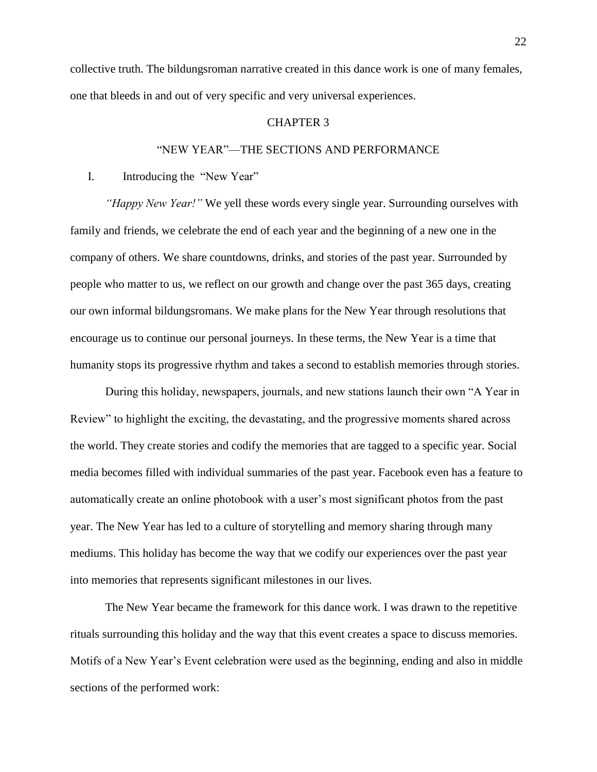collective truth. The bildungsroman narrative created in this dance work is one of many females, one that bleeds in and out of very specific and very universal experiences.

#### CHAPTER 3

## "NEW YEAR"—THE SECTIONS AND PERFORMANCE

I. Introducing the "New Year"

*"Happy New Year!"* We yell these words every single year. Surrounding ourselves with family and friends, we celebrate the end of each year and the beginning of a new one in the company of others. We share countdowns, drinks, and stories of the past year. Surrounded by people who matter to us, we reflect on our growth and change over the past 365 days, creating our own informal bildungsromans. We make plans for the New Year through resolutions that encourage us to continue our personal journeys. In these terms, the New Year is a time that humanity stops its progressive rhythm and takes a second to establish memories through stories.

During this holiday, newspapers, journals, and new stations launch their own "A Year in Review" to highlight the exciting, the devastating, and the progressive moments shared across the world. They create stories and codify the memories that are tagged to a specific year. Social media becomes filled with individual summaries of the past year. Facebook even has a feature to automatically create an online photobook with a user's most significant photos from the past year. The New Year has led to a culture of storytelling and memory sharing through many mediums. This holiday has become the way that we codify our experiences over the past year into memories that represents significant milestones in our lives.

The New Year became the framework for this dance work. I was drawn to the repetitive rituals surrounding this holiday and the way that this event creates a space to discuss memories. Motifs of a New Year's Event celebration were used as the beginning, ending and also in middle sections of the performed work: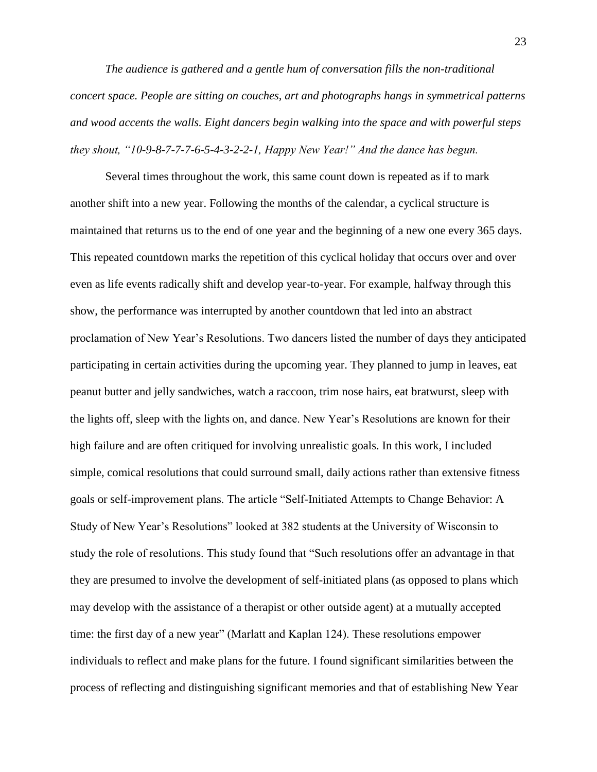*The audience is gathered and a gentle hum of conversation fills the non-traditional concert space. People are sitting on couches, art and photographs hangs in symmetrical patterns and wood accents the walls. Eight dancers begin walking into the space and with powerful steps they shout, "10-9-8-7-7-7-6-5-4-3-2-2-1, Happy New Year!" And the dance has begun.*

Several times throughout the work, this same count down is repeated as if to mark another shift into a new year. Following the months of the calendar, a cyclical structure is maintained that returns us to the end of one year and the beginning of a new one every 365 days. This repeated countdown marks the repetition of this cyclical holiday that occurs over and over even as life events radically shift and develop year-to-year. For example, halfway through this show, the performance was interrupted by another countdown that led into an abstract proclamation of New Year's Resolutions. Two dancers listed the number of days they anticipated participating in certain activities during the upcoming year. They planned to jump in leaves, eat peanut butter and jelly sandwiches, watch a raccoon, trim nose hairs, eat bratwurst, sleep with the lights off, sleep with the lights on, and dance. New Year's Resolutions are known for their high failure and are often critiqued for involving unrealistic goals. In this work, I included simple, comical resolutions that could surround small, daily actions rather than extensive fitness goals or self-improvement plans. The article "Self-Initiated Attempts to Change Behavior: A Study of New Year's Resolutions" looked at 382 students at the University of Wisconsin to study the role of resolutions. This study found that "Such resolutions offer an advantage in that they are presumed to involve the development of self-initiated plans (as opposed to plans which may develop with the assistance of a therapist or other outside agent) at a mutually accepted time: the first day of a new year" (Marlatt and Kaplan 124). These resolutions empower individuals to reflect and make plans for the future. I found significant similarities between the process of reflecting and distinguishing significant memories and that of establishing New Year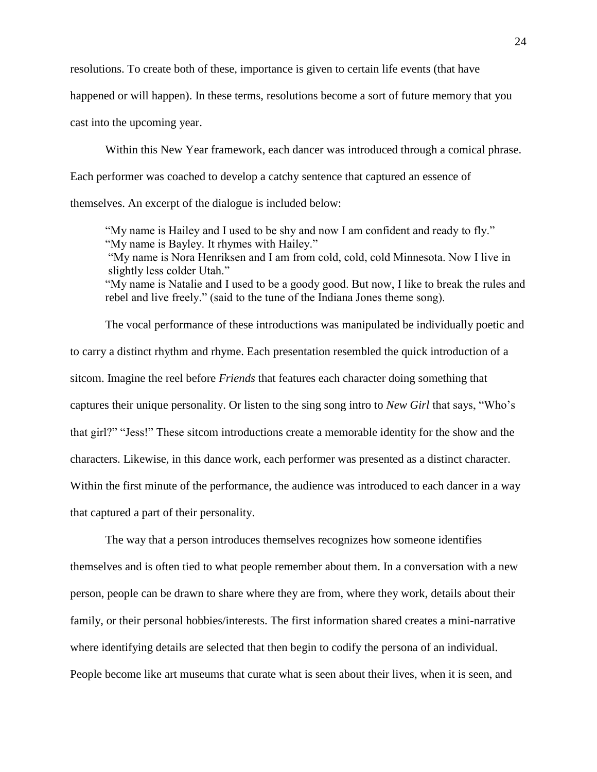resolutions. To create both of these, importance is given to certain life events (that have

happened or will happen). In these terms, resolutions become a sort of future memory that you

cast into the upcoming year.

Within this New Year framework, each dancer was introduced through a comical phrase. Each performer was coached to develop a catchy sentence that captured an essence of themselves. An excerpt of the dialogue is included below:

"My name is Hailey and I used to be shy and now I am confident and ready to fly." "My name is Bayley. It rhymes with Hailey."

"My name is Nora Henriksen and I am from cold, cold, cold Minnesota. Now I live in slightly less colder Utah."

"My name is Natalie and I used to be a goody good. But now, I like to break the rules and rebel and live freely." (said to the tune of the Indiana Jones theme song).

The vocal performance of these introductions was manipulated be individually poetic and to carry a distinct rhythm and rhyme. Each presentation resembled the quick introduction of a sitcom. Imagine the reel before *Friends* that features each character doing something that captures their unique personality. Or listen to the sing song intro to *New Girl* that says, "Who's that girl?" "Jess!" These sitcom introductions create a memorable identity for the show and the characters. Likewise, in this dance work, each performer was presented as a distinct character. Within the first minute of the performance, the audience was introduced to each dancer in a way that captured a part of their personality.

The way that a person introduces themselves recognizes how someone identifies themselves and is often tied to what people remember about them. In a conversation with a new person, people can be drawn to share where they are from, where they work, details about their family, or their personal hobbies/interests. The first information shared creates a mini-narrative where identifying details are selected that then begin to codify the persona of an individual. People become like art museums that curate what is seen about their lives, when it is seen, and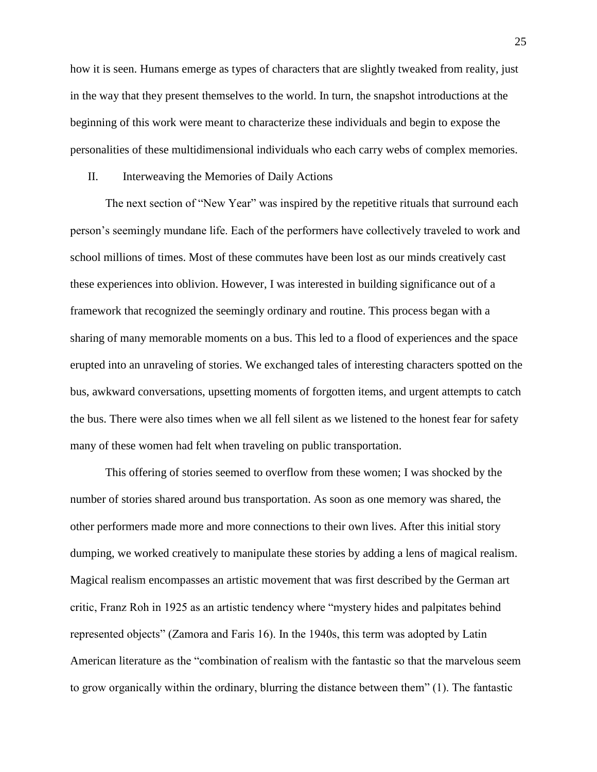how it is seen. Humans emerge as types of characters that are slightly tweaked from reality, just in the way that they present themselves to the world. In turn, the snapshot introductions at the beginning of this work were meant to characterize these individuals and begin to expose the personalities of these multidimensional individuals who each carry webs of complex memories.

II. Interweaving the Memories of Daily Actions

The next section of "New Year" was inspired by the repetitive rituals that surround each person's seemingly mundane life. Each of the performers have collectively traveled to work and school millions of times. Most of these commutes have been lost as our minds creatively cast these experiences into oblivion. However, I was interested in building significance out of a framework that recognized the seemingly ordinary and routine. This process began with a sharing of many memorable moments on a bus. This led to a flood of experiences and the space erupted into an unraveling of stories. We exchanged tales of interesting characters spotted on the bus, awkward conversations, upsetting moments of forgotten items, and urgent attempts to catch the bus. There were also times when we all fell silent as we listened to the honest fear for safety many of these women had felt when traveling on public transportation.

This offering of stories seemed to overflow from these women; I was shocked by the number of stories shared around bus transportation. As soon as one memory was shared, the other performers made more and more connections to their own lives. After this initial story dumping, we worked creatively to manipulate these stories by adding a lens of magical realism. Magical realism encompasses an artistic movement that was first described by the German art critic, Franz Roh in 1925 as an artistic tendency where "mystery hides and palpitates behind represented objects" (Zamora and Faris 16). In the 1940s, this term was adopted by Latin American literature as the "combination of realism with the fantastic so that the marvelous seem to grow organically within the ordinary, blurring the distance between them" (1). The fantastic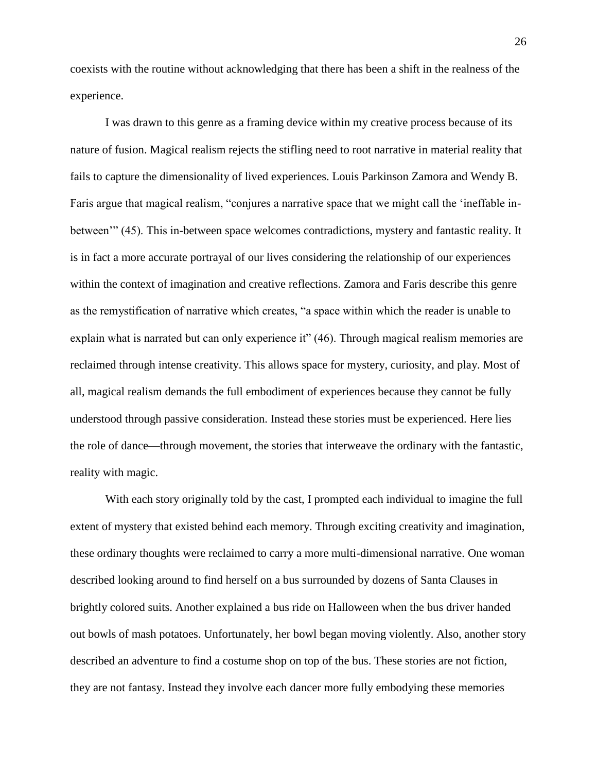coexists with the routine without acknowledging that there has been a shift in the realness of the experience.

I was drawn to this genre as a framing device within my creative process because of its nature of fusion. Magical realism rejects the stifling need to root narrative in material reality that fails to capture the dimensionality of lived experiences. Louis Parkinson Zamora and Wendy B. Faris argue that magical realism, "conjures a narrative space that we might call the 'ineffable inbetween'" (45). This in-between space welcomes contradictions, mystery and fantastic reality. It is in fact a more accurate portrayal of our lives considering the relationship of our experiences within the context of imagination and creative reflections. Zamora and Faris describe this genre as the remystification of narrative which creates, "a space within which the reader is unable to explain what is narrated but can only experience it" (46). Through magical realism memories are reclaimed through intense creativity. This allows space for mystery, curiosity, and play. Most of all, magical realism demands the full embodiment of experiences because they cannot be fully understood through passive consideration. Instead these stories must be experienced. Here lies the role of dance—through movement, the stories that interweave the ordinary with the fantastic, reality with magic.

With each story originally told by the cast, I prompted each individual to imagine the full extent of mystery that existed behind each memory. Through exciting creativity and imagination, these ordinary thoughts were reclaimed to carry a more multi-dimensional narrative. One woman described looking around to find herself on a bus surrounded by dozens of Santa Clauses in brightly colored suits. Another explained a bus ride on Halloween when the bus driver handed out bowls of mash potatoes. Unfortunately, her bowl began moving violently. Also, another story described an adventure to find a costume shop on top of the bus. These stories are not fiction, they are not fantasy. Instead they involve each dancer more fully embodying these memories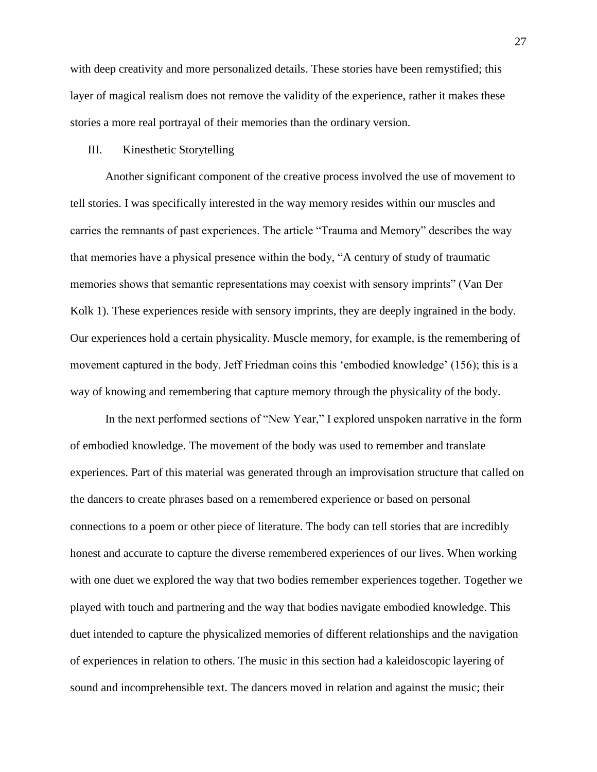with deep creativity and more personalized details. These stories have been remystified; this layer of magical realism does not remove the validity of the experience, rather it makes these stories a more real portrayal of their memories than the ordinary version.

## III. Kinesthetic Storytelling

Another significant component of the creative process involved the use of movement to tell stories. I was specifically interested in the way memory resides within our muscles and carries the remnants of past experiences. The article "Trauma and Memory" describes the way that memories have a physical presence within the body, "A century of study of traumatic memories shows that semantic representations may coexist with sensory imprints" (Van Der Kolk 1). These experiences reside with sensory imprints, they are deeply ingrained in the body. Our experiences hold a certain physicality. Muscle memory, for example, is the remembering of movement captured in the body. Jeff Friedman coins this 'embodied knowledge' (156); this is a way of knowing and remembering that capture memory through the physicality of the body.

In the next performed sections of "New Year," I explored unspoken narrative in the form of embodied knowledge. The movement of the body was used to remember and translate experiences. Part of this material was generated through an improvisation structure that called on the dancers to create phrases based on a remembered experience or based on personal connections to a poem or other piece of literature. The body can tell stories that are incredibly honest and accurate to capture the diverse remembered experiences of our lives. When working with one duet we explored the way that two bodies remember experiences together. Together we played with touch and partnering and the way that bodies navigate embodied knowledge. This duet intended to capture the physicalized memories of different relationships and the navigation of experiences in relation to others. The music in this section had a kaleidoscopic layering of sound and incomprehensible text. The dancers moved in relation and against the music; their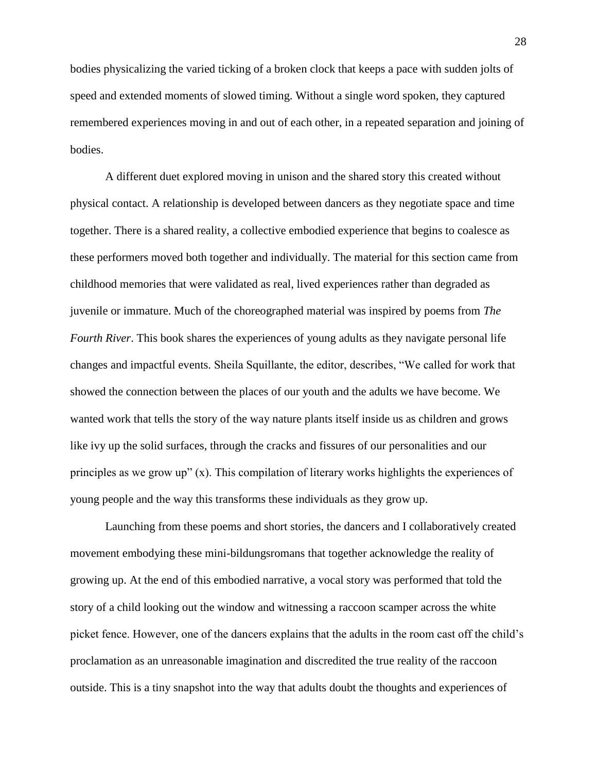bodies physicalizing the varied ticking of a broken clock that keeps a pace with sudden jolts of speed and extended moments of slowed timing. Without a single word spoken, they captured remembered experiences moving in and out of each other, in a repeated separation and joining of bodies.

A different duet explored moving in unison and the shared story this created without physical contact. A relationship is developed between dancers as they negotiate space and time together. There is a shared reality, a collective embodied experience that begins to coalesce as these performers moved both together and individually. The material for this section came from childhood memories that were validated as real, lived experiences rather than degraded as juvenile or immature. Much of the choreographed material was inspired by poems from *The Fourth River*. This book shares the experiences of young adults as they navigate personal life changes and impactful events. Sheila Squillante, the editor, describes, "We called for work that showed the connection between the places of our youth and the adults we have become. We wanted work that tells the story of the way nature plants itself inside us as children and grows like ivy up the solid surfaces, through the cracks and fissures of our personalities and our principles as we grow up" (x). This compilation of literary works highlights the experiences of young people and the way this transforms these individuals as they grow up.

Launching from these poems and short stories, the dancers and I collaboratively created movement embodying these mini-bildungsromans that together acknowledge the reality of growing up. At the end of this embodied narrative, a vocal story was performed that told the story of a child looking out the window and witnessing a raccoon scamper across the white picket fence. However, one of the dancers explains that the adults in the room cast off the child's proclamation as an unreasonable imagination and discredited the true reality of the raccoon outside. This is a tiny snapshot into the way that adults doubt the thoughts and experiences of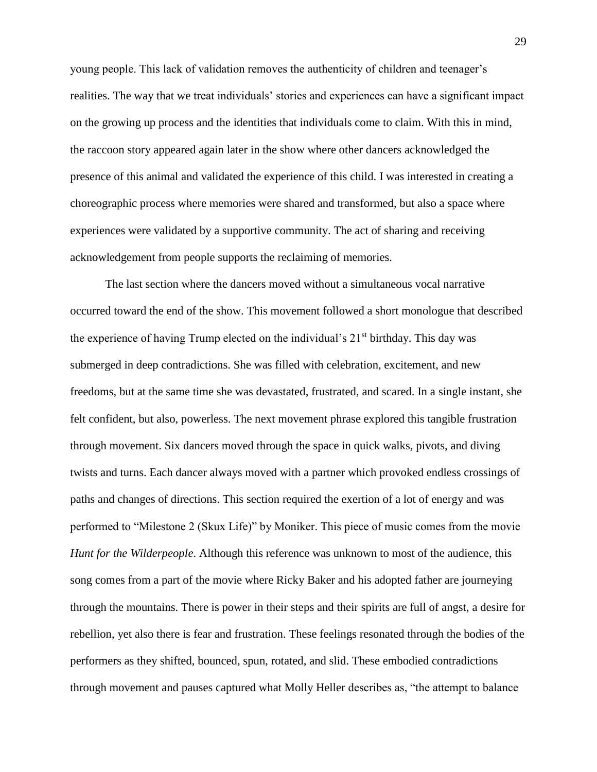young people. This lack of validation removes the authenticity of children and teenager's realities. The way that we treat individuals' stories and experiences can have a significant impact on the growing up process and the identities that individuals come to claim. With this in mind, the raccoon story appeared again later in the show where other dancers acknowledged the presence of this animal and validated the experience of this child. I was interested in creating a choreographic process where memories were shared and transformed, but also a space where experiences were validated by a supportive community. The act of sharing and receiving acknowledgement from people supports the reclaiming of memories.

The last section where the dancers moved without a simultaneous vocal narrative occurred toward the end of the show. This movement followed a short monologue that described the experience of having Trump elected on the individual's 21<sup>st</sup> birthday. This day was submerged in deep contradictions. She was filled with celebration, excitement, and new freedoms, but at the same time she was devastated, frustrated, and scared. In a single instant, she felt confident, but also, powerless. The next movement phrase explored this tangible frustration through movement. Six dancers moved through the space in quick walks, pivots, and diving twists and turns. Each dancer always moved with a partner which provoked endless crossings of paths and changes of directions. This section required the exertion of a lot of energy and was performed to "Milestone 2 (Skux Life)" by Moniker. This piece of music comes from the movie *Hunt for the Wilderpeople*. Although this reference was unknown to most of the audience, this song comes from a part of the movie where Ricky Baker and his adopted father are journeying through the mountains. There is power in their steps and their spirits are full of angst, a desire for rebellion, yet also there is fear and frustration. These feelings resonated through the bodies of the performers as they shifted, bounced, spun, rotated, and slid. These embodied contradictions through movement and pauses captured what Molly Heller describes as, "the attempt to balance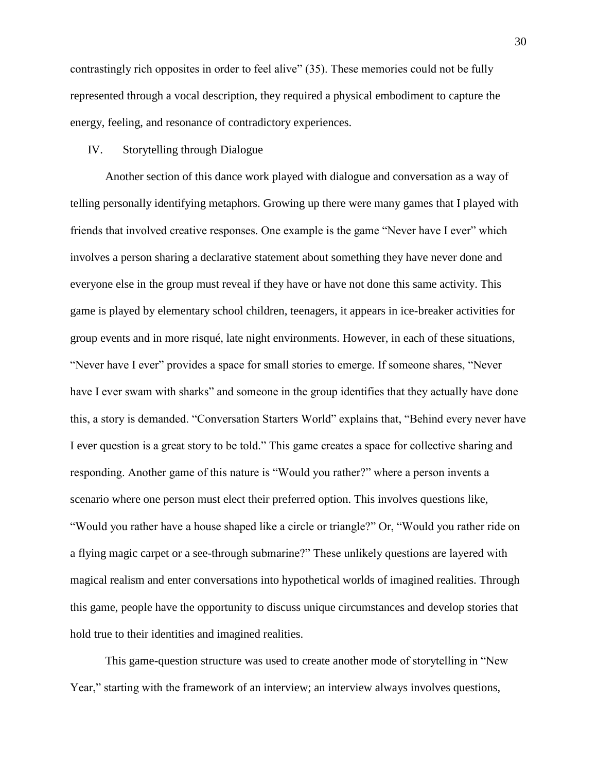contrastingly rich opposites in order to feel alive" (35). These memories could not be fully represented through a vocal description, they required a physical embodiment to capture the energy, feeling, and resonance of contradictory experiences.

## IV. Storytelling through Dialogue

Another section of this dance work played with dialogue and conversation as a way of telling personally identifying metaphors. Growing up there were many games that I played with friends that involved creative responses. One example is the game "Never have I ever" which involves a person sharing a declarative statement about something they have never done and everyone else in the group must reveal if they have or have not done this same activity. This game is played by elementary school children, teenagers, it appears in ice-breaker activities for group events and in more risqué, late night environments. However, in each of these situations, "Never have I ever" provides a space for small stories to emerge. If someone shares, "Never have I ever swam with sharks" and someone in the group identifies that they actually have done this, a story is demanded. "Conversation Starters World" explains that, "Behind every never have I ever question is a great story to be told." This game creates a space for collective sharing and responding. Another game of this nature is "Would you rather?" where a person invents a scenario where one person must elect their preferred option. This involves questions like, "Would you rather have a house shaped like a circle or triangle?" Or, "Would you rather ride on a flying magic carpet or a see-through submarine?" These unlikely questions are layered with magical realism and enter conversations into hypothetical worlds of imagined realities. Through this game, people have the opportunity to discuss unique circumstances and develop stories that hold true to their identities and imagined realities.

This game-question structure was used to create another mode of storytelling in "New Year," starting with the framework of an interview; an interview always involves questions,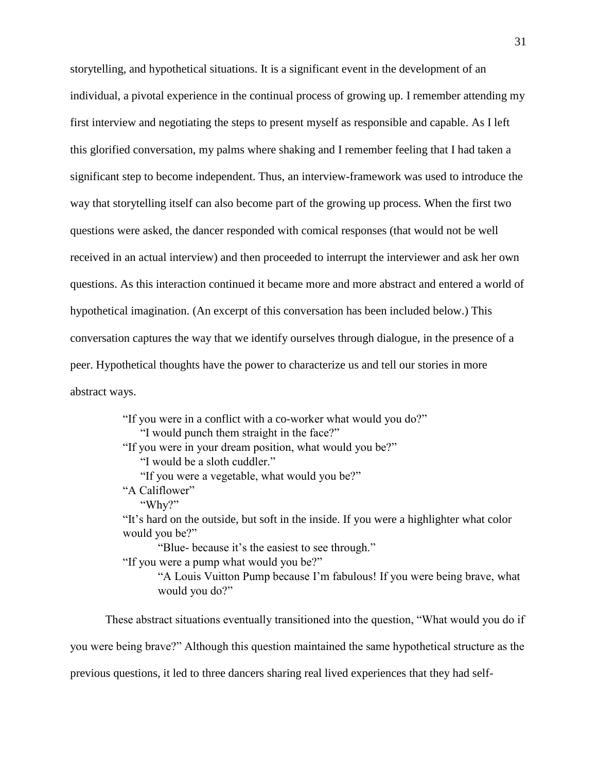storytelling, and hypothetical situations. It is a significant event in the development of an individual, a pivotal experience in the continual process of growing up. I remember attending my first interview and negotiating the steps to present myself as responsible and capable. As I left this glorified conversation, my palms where shaking and I remember feeling that I had taken a significant step to become independent. Thus, an interview-framework was used to introduce the way that storytelling itself can also become part of the growing up process. When the first two questions were asked, the dancer responded with comical responses (that would not be well received in an actual interview) and then proceeded to interrupt the interviewer and ask her own questions. As this interaction continued it became more and more abstract and entered a world of hypothetical imagination. (An excerpt of this conversation has been included below.) This conversation captures the way that we identify ourselves through dialogue, in the presence of a peer. Hypothetical thoughts have the power to characterize us and tell our stories in more abstract ways.

> "If you were in a conflict with a co-worker what would you do?" "I would punch them straight in the face?" "If you were in your dream position, what would you be?" "I would be a sloth cuddler." "If you were a vegetable, what would you be?" "A Califlower" "Why?" "It's hard on the outside, but soft in the inside. If you were a highlighter what color would you be?" "Blue- because it's the easiest to see through." "If you were a pump what would you be?" "A Louis Vuitton Pump because I'm fabulous! If you were being brave, what would you do?"

These abstract situations eventually transitioned into the question, "What would you do if you were being brave?" Although this question maintained the same hypothetical structure as the previous questions, it led to three dancers sharing real lived experiences that they had self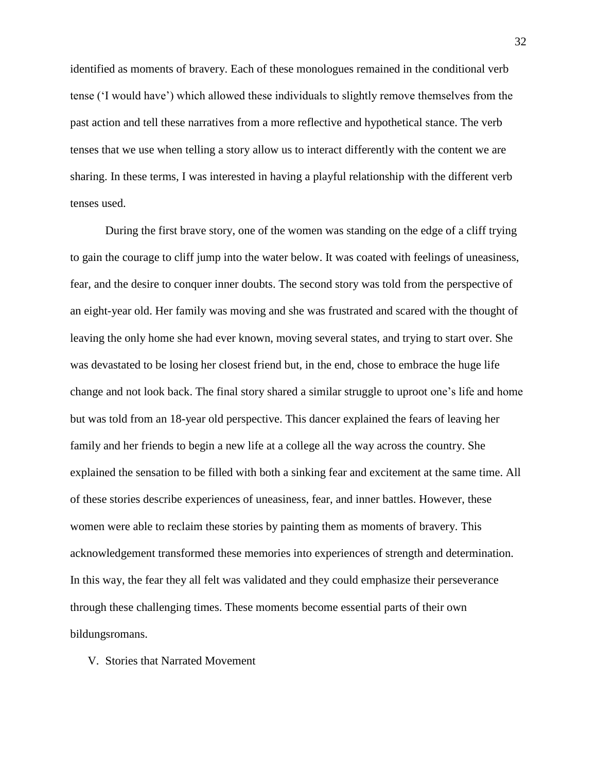identified as moments of bravery. Each of these monologues remained in the conditional verb tense ('I would have') which allowed these individuals to slightly remove themselves from the past action and tell these narratives from a more reflective and hypothetical stance. The verb tenses that we use when telling a story allow us to interact differently with the content we are sharing. In these terms, I was interested in having a playful relationship with the different verb tenses used.

During the first brave story, one of the women was standing on the edge of a cliff trying to gain the courage to cliff jump into the water below. It was coated with feelings of uneasiness, fear, and the desire to conquer inner doubts. The second story was told from the perspective of an eight-year old. Her family was moving and she was frustrated and scared with the thought of leaving the only home she had ever known, moving several states, and trying to start over. She was devastated to be losing her closest friend but, in the end, chose to embrace the huge life change and not look back. The final story shared a similar struggle to uproot one's life and home but was told from an 18-year old perspective. This dancer explained the fears of leaving her family and her friends to begin a new life at a college all the way across the country. She explained the sensation to be filled with both a sinking fear and excitement at the same time. All of these stories describe experiences of uneasiness, fear, and inner battles. However, these women were able to reclaim these stories by painting them as moments of bravery. This acknowledgement transformed these memories into experiences of strength and determination. In this way, the fear they all felt was validated and they could emphasize their perseverance through these challenging times. These moments become essential parts of their own bildungsromans.

V. Stories that Narrated Movement

32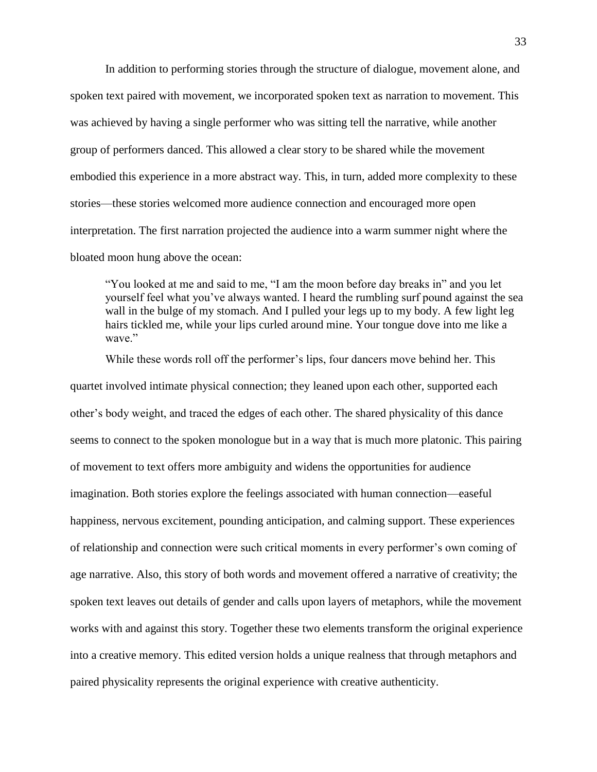In addition to performing stories through the structure of dialogue, movement alone, and spoken text paired with movement, we incorporated spoken text as narration to movement. This was achieved by having a single performer who was sitting tell the narrative, while another group of performers danced. This allowed a clear story to be shared while the movement embodied this experience in a more abstract way. This, in turn, added more complexity to these stories—these stories welcomed more audience connection and encouraged more open interpretation. The first narration projected the audience into a warm summer night where the bloated moon hung above the ocean:

"You looked at me and said to me, "I am the moon before day breaks in" and you let yourself feel what you've always wanted. I heard the rumbling surf pound against the sea wall in the bulge of my stomach. And I pulled your legs up to my body. A few light leg hairs tickled me, while your lips curled around mine. Your tongue dove into me like a wave."

While these words roll off the performer's lips, four dancers move behind her. This quartet involved intimate physical connection; they leaned upon each other, supported each other's body weight, and traced the edges of each other. The shared physicality of this dance seems to connect to the spoken monologue but in a way that is much more platonic. This pairing of movement to text offers more ambiguity and widens the opportunities for audience imagination. Both stories explore the feelings associated with human connection—easeful happiness, nervous excitement, pounding anticipation, and calming support. These experiences of relationship and connection were such critical moments in every performer's own coming of age narrative. Also, this story of both words and movement offered a narrative of creativity; the spoken text leaves out details of gender and calls upon layers of metaphors, while the movement works with and against this story. Together these two elements transform the original experience into a creative memory. This edited version holds a unique realness that through metaphors and paired physicality represents the original experience with creative authenticity.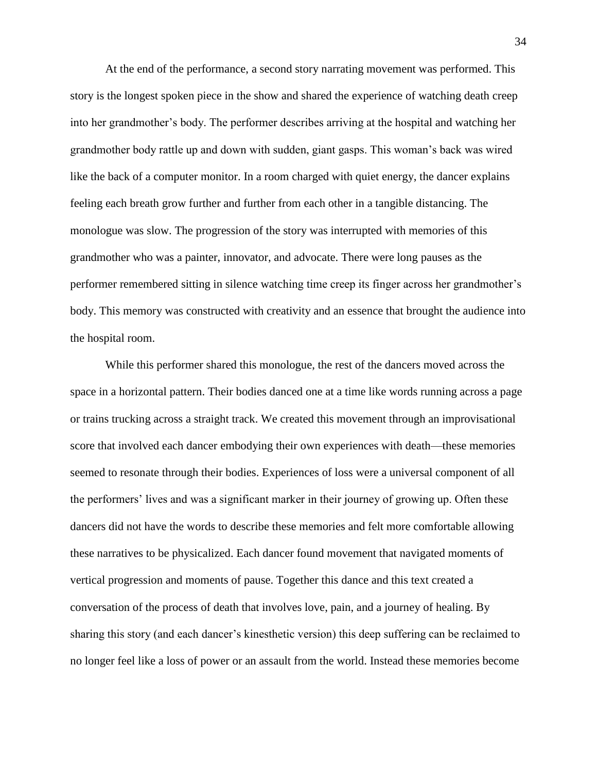At the end of the performance, a second story narrating movement was performed. This story is the longest spoken piece in the show and shared the experience of watching death creep into her grandmother's body. The performer describes arriving at the hospital and watching her grandmother body rattle up and down with sudden, giant gasps. This woman's back was wired like the back of a computer monitor. In a room charged with quiet energy, the dancer explains feeling each breath grow further and further from each other in a tangible distancing. The monologue was slow. The progression of the story was interrupted with memories of this grandmother who was a painter, innovator, and advocate. There were long pauses as the performer remembered sitting in silence watching time creep its finger across her grandmother's body. This memory was constructed with creativity and an essence that brought the audience into the hospital room.

While this performer shared this monologue, the rest of the dancers moved across the space in a horizontal pattern. Their bodies danced one at a time like words running across a page or trains trucking across a straight track. We created this movement through an improvisational score that involved each dancer embodying their own experiences with death—these memories seemed to resonate through their bodies. Experiences of loss were a universal component of all the performers' lives and was a significant marker in their journey of growing up. Often these dancers did not have the words to describe these memories and felt more comfortable allowing these narratives to be physicalized. Each dancer found movement that navigated moments of vertical progression and moments of pause. Together this dance and this text created a conversation of the process of death that involves love, pain, and a journey of healing. By sharing this story (and each dancer's kinesthetic version) this deep suffering can be reclaimed to no longer feel like a loss of power or an assault from the world. Instead these memories become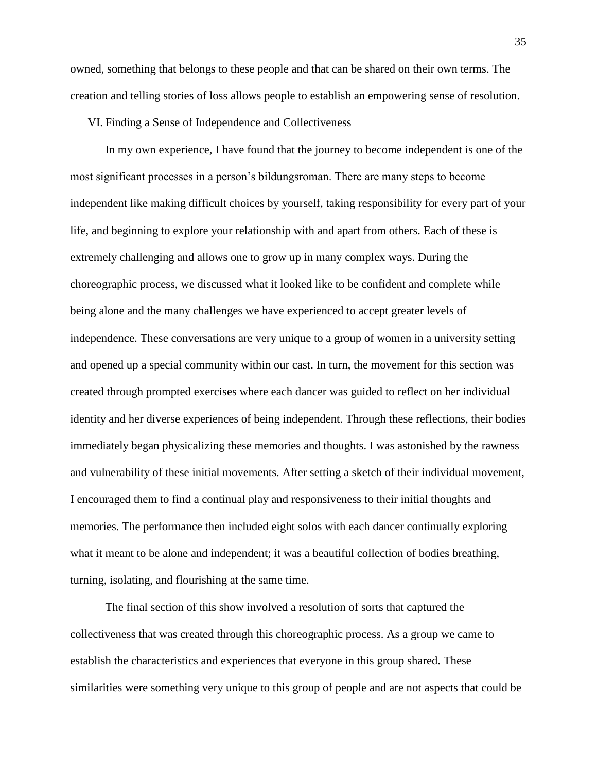owned, something that belongs to these people and that can be shared on their own terms. The creation and telling stories of loss allows people to establish an empowering sense of resolution.

## VI. Finding a Sense of Independence and Collectiveness

In my own experience, I have found that the journey to become independent is one of the most significant processes in a person's bildungsroman. There are many steps to become independent like making difficult choices by yourself, taking responsibility for every part of your life, and beginning to explore your relationship with and apart from others. Each of these is extremely challenging and allows one to grow up in many complex ways. During the choreographic process, we discussed what it looked like to be confident and complete while being alone and the many challenges we have experienced to accept greater levels of independence. These conversations are very unique to a group of women in a university setting and opened up a special community within our cast. In turn, the movement for this section was created through prompted exercises where each dancer was guided to reflect on her individual identity and her diverse experiences of being independent. Through these reflections, their bodies immediately began physicalizing these memories and thoughts. I was astonished by the rawness and vulnerability of these initial movements. After setting a sketch of their individual movement, I encouraged them to find a continual play and responsiveness to their initial thoughts and memories. The performance then included eight solos with each dancer continually exploring what it meant to be alone and independent; it was a beautiful collection of bodies breathing, turning, isolating, and flourishing at the same time.

The final section of this show involved a resolution of sorts that captured the collectiveness that was created through this choreographic process. As a group we came to establish the characteristics and experiences that everyone in this group shared. These similarities were something very unique to this group of people and are not aspects that could be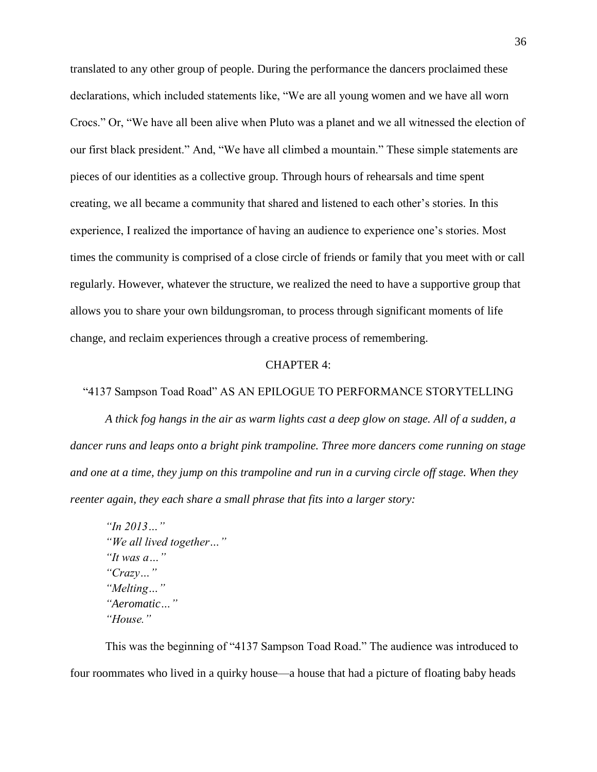translated to any other group of people. During the performance the dancers proclaimed these declarations, which included statements like, "We are all young women and we have all worn Crocs." Or, "We have all been alive when Pluto was a planet and we all witnessed the election of our first black president." And, "We have all climbed a mountain." These simple statements are pieces of our identities as a collective group. Through hours of rehearsals and time spent creating, we all became a community that shared and listened to each other's stories. In this experience, I realized the importance of having an audience to experience one's stories. Most times the community is comprised of a close circle of friends or family that you meet with or call regularly. However, whatever the structure, we realized the need to have a supportive group that allows you to share your own bildungsroman, to process through significant moments of life change, and reclaim experiences through a creative process of remembering.

#### CHAPTER 4:

#### "4137 Sampson Toad Road" AS AN EPILOGUE TO PERFORMANCE STORYTELLING

*A thick fog hangs in the air as warm lights cast a deep glow on stage. All of a sudden, a dancer runs and leaps onto a bright pink trampoline. Three more dancers come running on stage and one at a time, they jump on this trampoline and run in a curving circle off stage. When they reenter again, they each share a small phrase that fits into a larger story:*

*"In 2013…" "We all lived together…" "It was a…" "Crazy…" "Melting…" "Aeromatic…" "House."*

This was the beginning of "4137 Sampson Toad Road." The audience was introduced to four roommates who lived in a quirky house—a house that had a picture of floating baby heads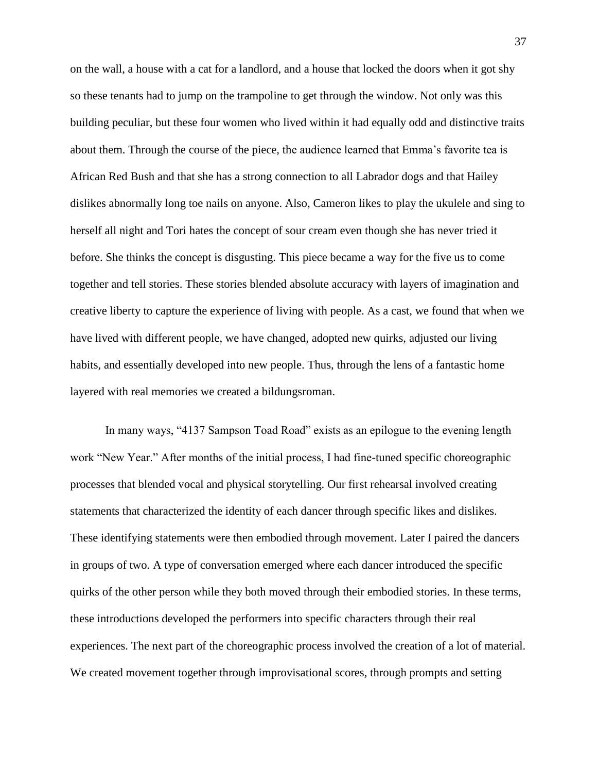on the wall, a house with a cat for a landlord, and a house that locked the doors when it got shy so these tenants had to jump on the trampoline to get through the window. Not only was this building peculiar, but these four women who lived within it had equally odd and distinctive traits about them. Through the course of the piece, the audience learned that Emma's favorite tea is African Red Bush and that she has a strong connection to all Labrador dogs and that Hailey dislikes abnormally long toe nails on anyone. Also, Cameron likes to play the ukulele and sing to herself all night and Tori hates the concept of sour cream even though she has never tried it before. She thinks the concept is disgusting. This piece became a way for the five us to come together and tell stories. These stories blended absolute accuracy with layers of imagination and creative liberty to capture the experience of living with people. As a cast, we found that when we have lived with different people, we have changed, adopted new quirks, adjusted our living habits, and essentially developed into new people. Thus, through the lens of a fantastic home layered with real memories we created a bildungsroman.

In many ways, "4137 Sampson Toad Road" exists as an epilogue to the evening length work "New Year." After months of the initial process, I had fine-tuned specific choreographic processes that blended vocal and physical storytelling. Our first rehearsal involved creating statements that characterized the identity of each dancer through specific likes and dislikes. These identifying statements were then embodied through movement. Later I paired the dancers in groups of two. A type of conversation emerged where each dancer introduced the specific quirks of the other person while they both moved through their embodied stories. In these terms, these introductions developed the performers into specific characters through their real experiences. The next part of the choreographic process involved the creation of a lot of material. We created movement together through improvisational scores, through prompts and setting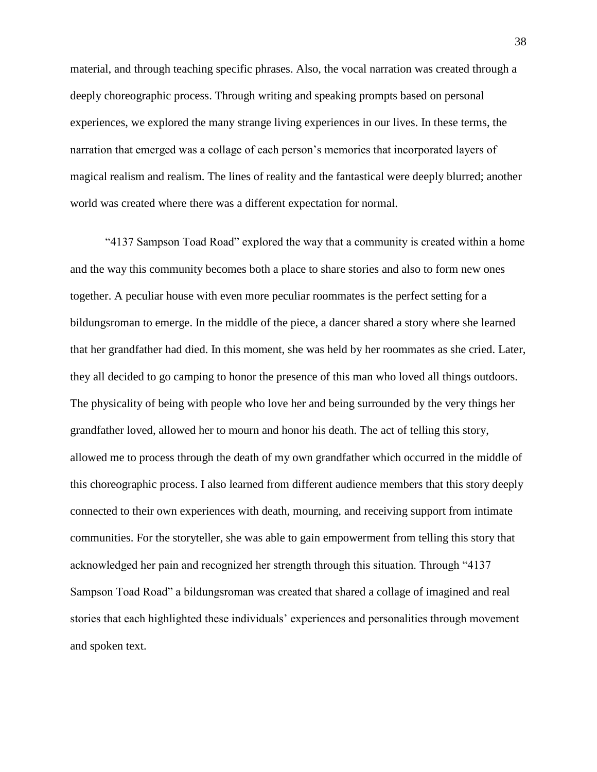material, and through teaching specific phrases. Also, the vocal narration was created through a deeply choreographic process. Through writing and speaking prompts based on personal experiences, we explored the many strange living experiences in our lives. In these terms, the narration that emerged was a collage of each person's memories that incorporated layers of magical realism and realism. The lines of reality and the fantastical were deeply blurred; another world was created where there was a different expectation for normal.

"4137 Sampson Toad Road" explored the way that a community is created within a home and the way this community becomes both a place to share stories and also to form new ones together. A peculiar house with even more peculiar roommates is the perfect setting for a bildungsroman to emerge. In the middle of the piece, a dancer shared a story where she learned that her grandfather had died. In this moment, she was held by her roommates as she cried. Later, they all decided to go camping to honor the presence of this man who loved all things outdoors. The physicality of being with people who love her and being surrounded by the very things her grandfather loved, allowed her to mourn and honor his death. The act of telling this story, allowed me to process through the death of my own grandfather which occurred in the middle of this choreographic process. I also learned from different audience members that this story deeply connected to their own experiences with death, mourning, and receiving support from intimate communities. For the storyteller, she was able to gain empowerment from telling this story that acknowledged her pain and recognized her strength through this situation. Through "4137 Sampson Toad Road" a bildungsroman was created that shared a collage of imagined and real stories that each highlighted these individuals' experiences and personalities through movement and spoken text.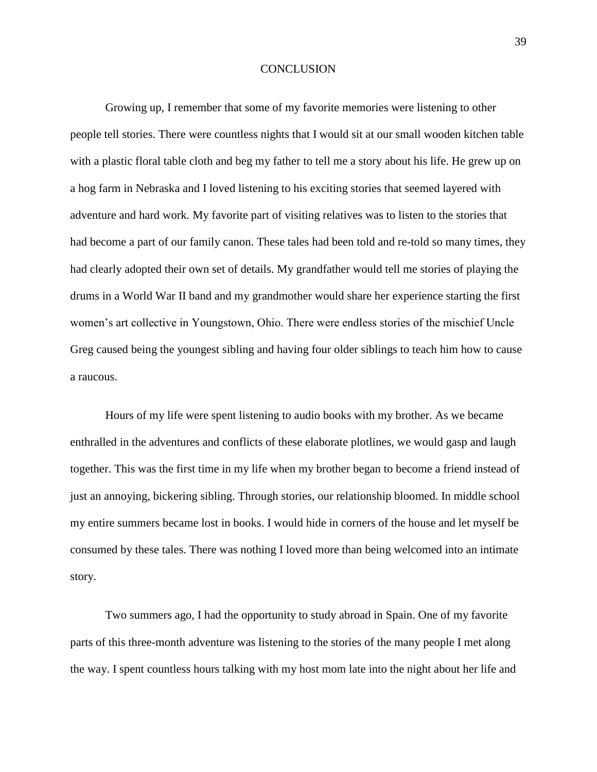#### **CONCLUSION**

Growing up, I remember that some of my favorite memories were listening to other people tell stories. There were countless nights that I would sit at our small wooden kitchen table with a plastic floral table cloth and beg my father to tell me a story about his life. He grew up on a hog farm in Nebraska and I loved listening to his exciting stories that seemed layered with adventure and hard work. My favorite part of visiting relatives was to listen to the stories that had become a part of our family canon. These tales had been told and re-told so many times, they had clearly adopted their own set of details. My grandfather would tell me stories of playing the drums in a World War II band and my grandmother would share her experience starting the first women's art collective in Youngstown, Ohio. There were endless stories of the mischief Uncle Greg caused being the youngest sibling and having four older siblings to teach him how to cause a raucous.

Hours of my life were spent listening to audio books with my brother. As we became enthralled in the adventures and conflicts of these elaborate plotlines, we would gasp and laugh together. This was the first time in my life when my brother began to become a friend instead of just an annoying, bickering sibling. Through stories, our relationship bloomed. In middle school my entire summers became lost in books. I would hide in corners of the house and let myself be consumed by these tales. There was nothing I loved more than being welcomed into an intimate story.

Two summers ago, I had the opportunity to study abroad in Spain. One of my favorite parts of this three-month adventure was listening to the stories of the many people I met along the way. I spent countless hours talking with my host mom late into the night about her life and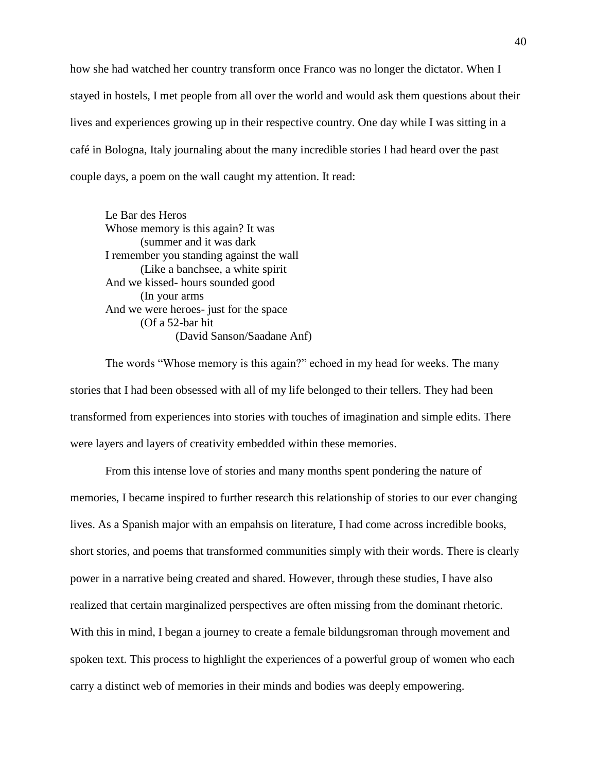how she had watched her country transform once Franco was no longer the dictator. When I stayed in hostels, I met people from all over the world and would ask them questions about their lives and experiences growing up in their respective country. One day while I was sitting in a café in Bologna, Italy journaling about the many incredible stories I had heard over the past couple days, a poem on the wall caught my attention. It read:

Le Bar des Heros Whose memory is this again? It was (summer and it was dark I remember you standing against the wall (Like a banchsee, a white spirit And we kissed- hours sounded good (In your arms And we were heroes- just for the space (Of a 52-bar hit (David Sanson/Saadane Anf)

The words "Whose memory is this again?" echoed in my head for weeks. The many stories that I had been obsessed with all of my life belonged to their tellers. They had been transformed from experiences into stories with touches of imagination and simple edits. There were layers and layers of creativity embedded within these memories.

From this intense love of stories and many months spent pondering the nature of memories, I became inspired to further research this relationship of stories to our ever changing lives. As a Spanish major with an empahsis on literature, I had come across incredible books, short stories, and poems that transformed communities simply with their words. There is clearly power in a narrative being created and shared. However, through these studies, I have also realized that certain marginalized perspectives are often missing from the dominant rhetoric. With this in mind, I began a journey to create a female bildungsroman through movement and spoken text. This process to highlight the experiences of a powerful group of women who each carry a distinct web of memories in their minds and bodies was deeply empowering.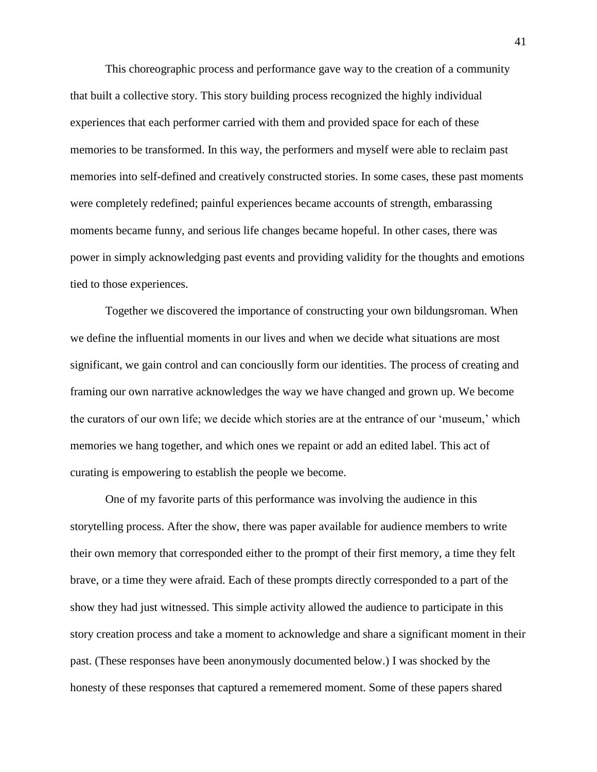This choreographic process and performance gave way to the creation of a community that built a collective story. This story building process recognized the highly individual experiences that each performer carried with them and provided space for each of these memories to be transformed. In this way, the performers and myself were able to reclaim past memories into self-defined and creatively constructed stories. In some cases, these past moments were completely redefined; painful experiences became accounts of strength, embarassing moments became funny, and serious life changes became hopeful. In other cases, there was power in simply acknowledging past events and providing validity for the thoughts and emotions tied to those experiences.

Together we discovered the importance of constructing your own bildungsroman. When we define the influential moments in our lives and when we decide what situations are most significant, we gain control and can conciouslly form our identities. The process of creating and framing our own narrative acknowledges the way we have changed and grown up. We become the curators of our own life; we decide which stories are at the entrance of our 'museum,' which memories we hang together, and which ones we repaint or add an edited label. This act of curating is empowering to establish the people we become.

One of my favorite parts of this performance was involving the audience in this storytelling process. After the show, there was paper available for audience members to write their own memory that corresponded either to the prompt of their first memory, a time they felt brave, or a time they were afraid. Each of these prompts directly corresponded to a part of the show they had just witnessed. This simple activity allowed the audience to participate in this story creation process and take a moment to acknowledge and share a significant moment in their past. (These responses have been anonymously documented below.) I was shocked by the honesty of these responses that captured a rememered moment. Some of these papers shared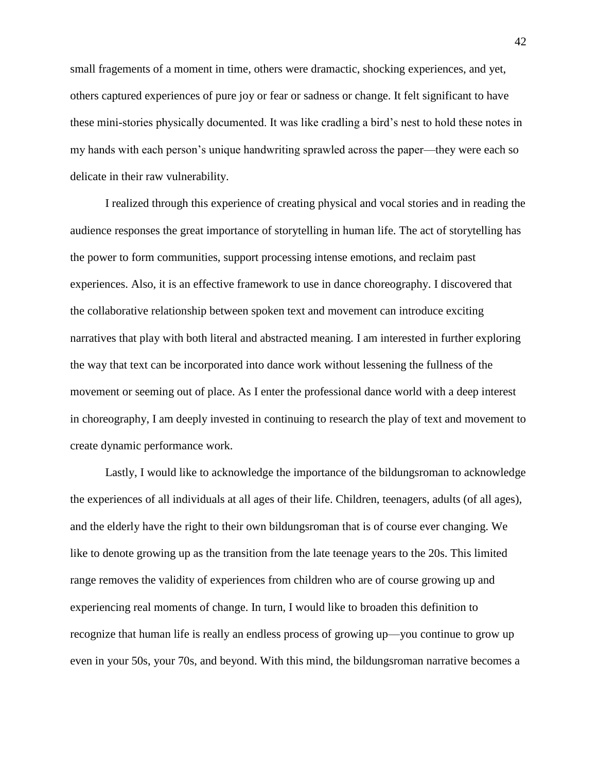small fragements of a moment in time, others were dramactic, shocking experiences, and yet, others captured experiences of pure joy or fear or sadness or change. It felt significant to have these mini-stories physically documented. It was like cradling a bird's nest to hold these notes in my hands with each person's unique handwriting sprawled across the paper—they were each so delicate in their raw vulnerability.

I realized through this experience of creating physical and vocal stories and in reading the audience responses the great importance of storytelling in human life. The act of storytelling has the power to form communities, support processing intense emotions, and reclaim past experiences. Also, it is an effective framework to use in dance choreography. I discovered that the collaborative relationship between spoken text and movement can introduce exciting narratives that play with both literal and abstracted meaning. I am interested in further exploring the way that text can be incorporated into dance work without lessening the fullness of the movement or seeming out of place. As I enter the professional dance world with a deep interest in choreography, I am deeply invested in continuing to research the play of text and movement to create dynamic performance work.

Lastly, I would like to acknowledge the importance of the bildungsroman to acknowledge the experiences of all individuals at all ages of their life. Children, teenagers, adults (of all ages), and the elderly have the right to their own bildungsroman that is of course ever changing. We like to denote growing up as the transition from the late teenage years to the 20s. This limited range removes the validity of experiences from children who are of course growing up and experiencing real moments of change. In turn, I would like to broaden this definition to recognize that human life is really an endless process of growing up—you continue to grow up even in your 50s, your 70s, and beyond. With this mind, the bildungsroman narrative becomes a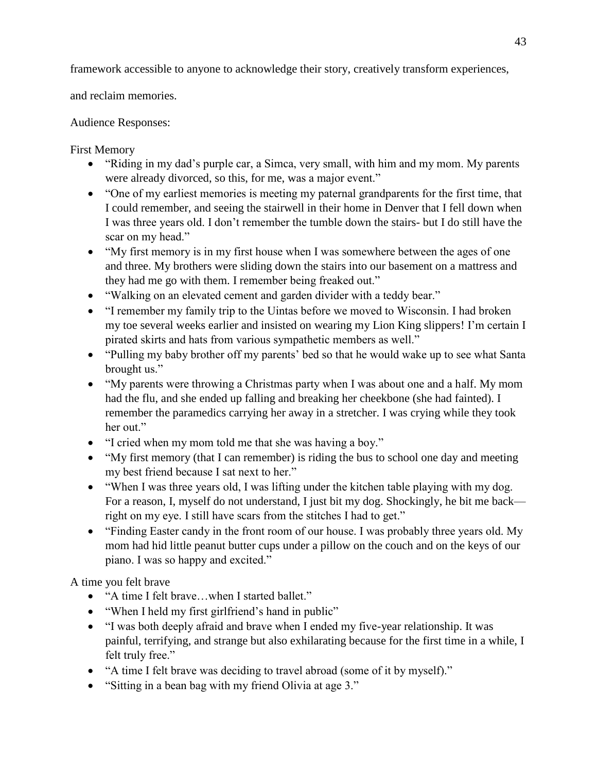framework accessible to anyone to acknowledge their story, creatively transform experiences,

and reclaim memories.

Audience Responses:

First Memory

- "Riding in my dad's purple car, a Simca, very small, with him and my mom. My parents were already divorced, so this, for me, was a major event."
- "One of my earliest memories is meeting my paternal grandparents for the first time, that I could remember, and seeing the stairwell in their home in Denver that I fell down when I was three years old. I don't remember the tumble down the stairs- but I do still have the scar on my head."
- "My first memory is in my first house when I was somewhere between the ages of one and three. My brothers were sliding down the stairs into our basement on a mattress and they had me go with them. I remember being freaked out."
- "Walking on an elevated cement and garden divider with a teddy bear."
- "I remember my family trip to the Uintas before we moved to Wisconsin. I had broken my toe several weeks earlier and insisted on wearing my Lion King slippers! I'm certain I pirated skirts and hats from various sympathetic members as well."
- "Pulling my baby brother off my parents' bed so that he would wake up to see what Santa brought us."
- "My parents were throwing a Christmas party when I was about one and a half. My mom had the flu, and she ended up falling and breaking her cheekbone (she had fainted). I remember the paramedics carrying her away in a stretcher. I was crying while they took her out."
- "I cried when my mom told me that she was having a boy."
- "My first memory (that I can remember) is riding the bus to school one day and meeting my best friend because I sat next to her."
- "When I was three years old, I was lifting under the kitchen table playing with my dog. For a reason, I, myself do not understand, I just bit my dog. Shockingly, he bit me back right on my eye. I still have scars from the stitches I had to get."
- "Finding Easter candy in the front room of our house. I was probably three years old. My mom had hid little peanut butter cups under a pillow on the couch and on the keys of our piano. I was so happy and excited."

A time you felt brave

- "A time I felt brave…when I started ballet."
- "When I held my first girlfriend's hand in public"
- "I was both deeply afraid and brave when I ended my five-year relationship. It was painful, terrifying, and strange but also exhilarating because for the first time in a while, I felt truly free."
- "A time I felt brave was deciding to travel abroad (some of it by myself)."
- "Sitting in a bean bag with my friend Olivia at age 3."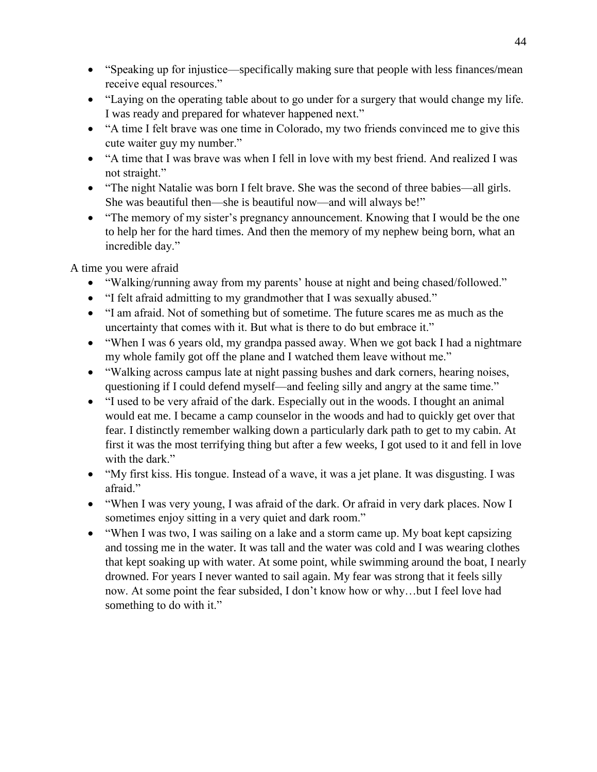- "Speaking up for injustice—specifically making sure that people with less finances/mean receive equal resources."
- "Laying on the operating table about to go under for a surgery that would change my life. I was ready and prepared for whatever happened next."
- "A time I felt brave was one time in Colorado, my two friends convinced me to give this cute waiter guy my number."
- "A time that I was brave was when I fell in love with my best friend. And realized I was not straight."
- "The night Natalie was born I felt brave. She was the second of three babies—all girls. She was beautiful then—she is beautiful now—and will always be!"
- "The memory of my sister's pregnancy announcement. Knowing that I would be the one to help her for the hard times. And then the memory of my nephew being born, what an incredible day."

A time you were afraid

- "Walking/running away from my parents' house at night and being chased/followed."
- "I felt afraid admitting to my grandmother that I was sexually abused."
- "I am afraid. Not of something but of sometime. The future scares me as much as the uncertainty that comes with it. But what is there to do but embrace it."
- "When I was 6 years old, my grandpa passed away. When we got back I had a nightmare my whole family got off the plane and I watched them leave without me."
- "Walking across campus late at night passing bushes and dark corners, hearing noises, questioning if I could defend myself—and feeling silly and angry at the same time."
- "I used to be very afraid of the dark. Especially out in the woods. I thought an animal would eat me. I became a camp counselor in the woods and had to quickly get over that fear. I distinctly remember walking down a particularly dark path to get to my cabin. At first it was the most terrifying thing but after a few weeks, I got used to it and fell in love with the dark."
- "My first kiss. His tongue. Instead of a wave, it was a jet plane. It was disgusting. I was afraid."
- "When I was very young, I was afraid of the dark. Or afraid in very dark places. Now I sometimes enjoy sitting in a very quiet and dark room."
- "When I was two, I was sailing on a lake and a storm came up. My boat kept capsizing and tossing me in the water. It was tall and the water was cold and I was wearing clothes that kept soaking up with water. At some point, while swimming around the boat, I nearly drowned. For years I never wanted to sail again. My fear was strong that it feels silly now. At some point the fear subsided, I don't know how or why…but I feel love had something to do with it."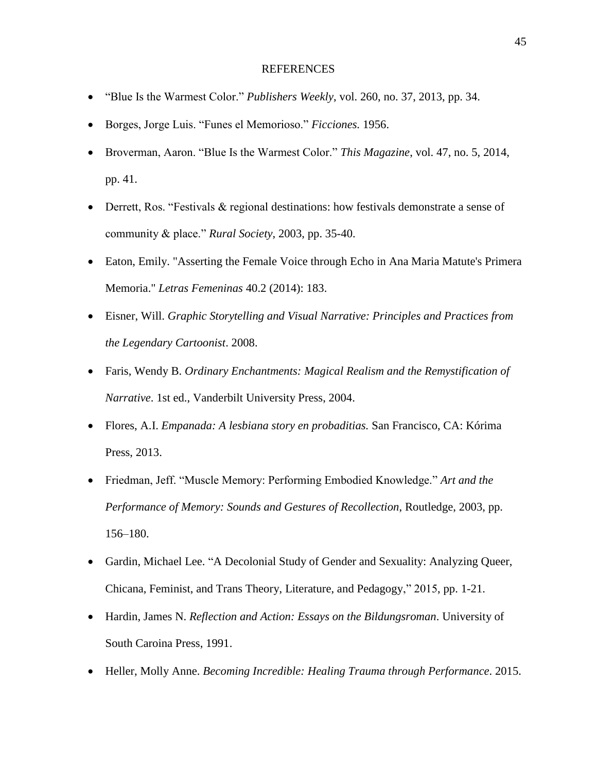#### REFERENCES

- "Blue Is the Warmest Color." *Publishers Weekly*, vol. 260, no. 37, 2013, pp. 34.
- Borges, Jorge Luis. "Funes el Memorioso." *Ficciones.* 1956.
- Broverman, Aaron. "Blue Is the Warmest Color." *This Magazine*, vol. 47, no. 5, 2014, pp. 41.
- Derrett, Ros. "Festivals & regional destinations: how festivals demonstrate a sense of community & place." *Rural Society*, 2003, pp. 35-40.
- Eaton, Emily. "Asserting the Female Voice through Echo in Ana Maria Matute's Primera Memoria." *Letras Femeninas* 40.2 (2014): 183.
- Eisner, Will. *Graphic Storytelling and Visual Narrative: Principles and Practices from the Legendary Cartoonist*. 2008.
- Faris, Wendy B. *Ordinary Enchantments: Magical Realism and the Remystification of Narrative*. 1st ed., Vanderbilt University Press, 2004.
- Flores, A.I. *Empanada: A lesbiana story en probaditias.* San Francisco, CA: Kórima Press, 2013.
- Friedman, Jeff. "Muscle Memory: Performing Embodied Knowledge." *Art and the Performance of Memory: Sounds and Gestures of Recollection*, Routledge, 2003, pp. 156–180.
- Gardin, Michael Lee. "A Decolonial Study of Gender and Sexuality: Analyzing Queer, Chicana, Feminist, and Trans Theory, Literature, and Pedagogy," 2015, pp. 1-21.
- Hardin, James N. *Reflection and Action: Essays on the Bildungsroman*. University of South Caroina Press, 1991.
- Heller, Molly Anne. *Becoming Incredible: Healing Trauma through Performance*. 2015.